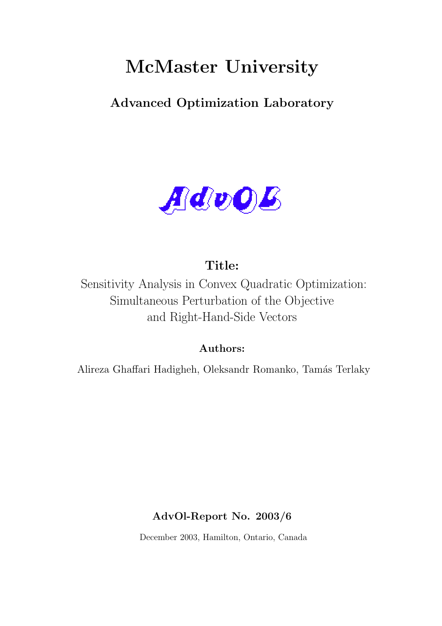# McMaster University

Advanced Optimization Laboratory



## Title:

Sensitivity Analysis in Convex Quadratic Optimization: Simultaneous Perturbation of the Objective and Right-Hand-Side Vectors

## Authors:

Alireza Ghaffari Hadigheh, Oleksandr Romanko, Tamás Terlaky

## AdvOl-Report No. 2003/6

December 2003, Hamilton, Ontario, Canada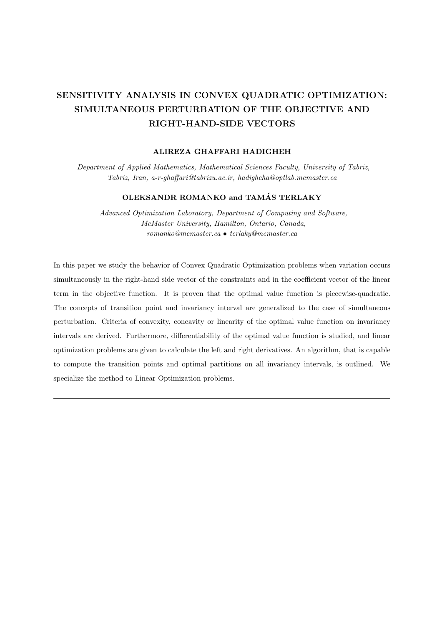## SENSITIVITY ANALYSIS IN CONVEX QUADRATIC OPTIMIZATION: SIMULTANEOUS PERTURBATION OF THE OBJECTIVE AND RIGHT-HAND-SIDE VECTORS

#### ALIREZA GHAFFARI HADIGHEH

Department of Applied Mathematics, Mathematical Sciences Faculty, University of Tabriz, Tabriz, Iran, a-r-ghaffari@tabrizu.ac.ir, hadigheha@optlab.mcmaster.ca

#### OLEKSANDR ROMANKO and TAMÁS TERLAKY

Advanced Optimization Laboratory, Department of Computing and Software, McMaster University, Hamilton, Ontario, Canada, romanko@mcmaster.ca • terlaky@mcmaster.ca

In this paper we study the behavior of Convex Quadratic Optimization problems when variation occurs simultaneously in the right-hand side vector of the constraints and in the coefficient vector of the linear term in the objective function. It is proven that the optimal value function is piecewise-quadratic. The concepts of transition point and invariancy interval are generalized to the case of simultaneous perturbation. Criteria of convexity, concavity or linearity of the optimal value function on invariancy intervals are derived. Furthermore, differentiability of the optimal value function is studied, and linear optimization problems are given to calculate the left and right derivatives. An algorithm, that is capable to compute the transition points and optimal partitions on all invariancy intervals, is outlined. We specialize the method to Linear Optimization problems.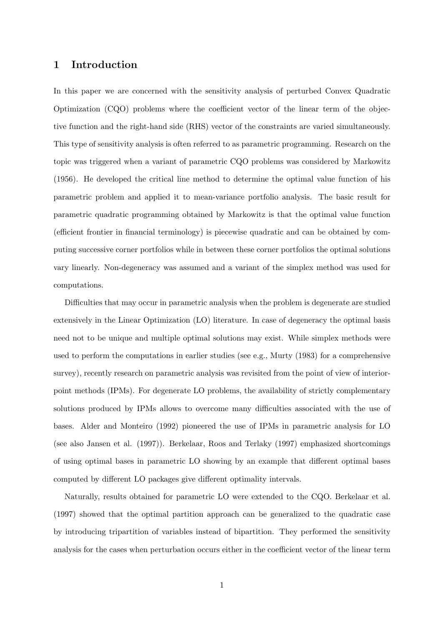#### 1 Introduction

In this paper we are concerned with the sensitivity analysis of perturbed Convex Quadratic Optimization (CQO) problems where the coefficient vector of the linear term of the objective function and the right-hand side (RHS) vector of the constraints are varied simultaneously. This type of sensitivity analysis is often referred to as parametric programming. Research on the topic was triggered when a variant of parametric CQO problems was considered by Markowitz (1956). He developed the critical line method to determine the optimal value function of his parametric problem and applied it to mean-variance portfolio analysis. The basic result for parametric quadratic programming obtained by Markowitz is that the optimal value function (efficient frontier in financial terminology) is piecewise quadratic and can be obtained by computing successive corner portfolios while in between these corner portfolios the optimal solutions vary linearly. Non-degeneracy was assumed and a variant of the simplex method was used for computations.

Difficulties that may occur in parametric analysis when the problem is degenerate are studied extensively in the Linear Optimization (LO) literature. In case of degeneracy the optimal basis need not to be unique and multiple optimal solutions may exist. While simplex methods were used to perform the computations in earlier studies (see e.g., Murty (1983) for a comprehensive survey), recently research on parametric analysis was revisited from the point of view of interiorpoint methods (IPMs). For degenerate LO problems, the availability of strictly complementary solutions produced by IPMs allows to overcome many difficulties associated with the use of bases. Alder and Monteiro (1992) pioneered the use of IPMs in parametric analysis for LO (see also Jansen et al. (1997)). Berkelaar, Roos and Terlaky (1997) emphasized shortcomings of using optimal bases in parametric LO showing by an example that different optimal bases computed by different LO packages give different optimality intervals.

Naturally, results obtained for parametric LO were extended to the CQO. Berkelaar et al. (1997) showed that the optimal partition approach can be generalized to the quadratic case by introducing tripartition of variables instead of bipartition. They performed the sensitivity analysis for the cases when perturbation occurs either in the coefficient vector of the linear term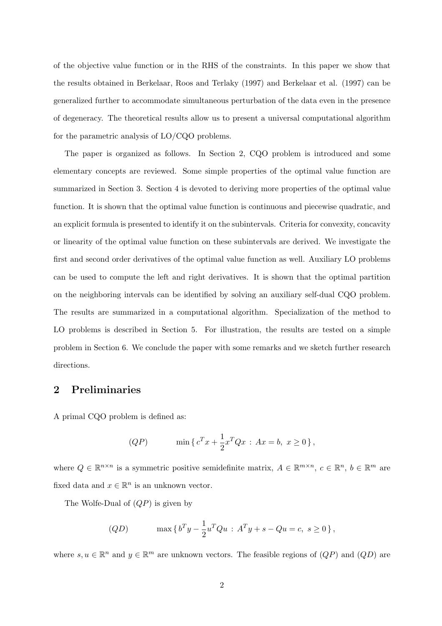of the objective value function or in the RHS of the constraints. In this paper we show that the results obtained in Berkelaar, Roos and Terlaky (1997) and Berkelaar et al. (1997) can be generalized further to accommodate simultaneous perturbation of the data even in the presence of degeneracy. The theoretical results allow us to present a universal computational algorithm for the parametric analysis of LO/CQO problems.

The paper is organized as follows. In Section 2, CQO problem is introduced and some elementary concepts are reviewed. Some simple properties of the optimal value function are summarized in Section 3. Section 4 is devoted to deriving more properties of the optimal value function. It is shown that the optimal value function is continuous and piecewise quadratic, and an explicit formula is presented to identify it on the subintervals. Criteria for convexity, concavity or linearity of the optimal value function on these subintervals are derived. We investigate the first and second order derivatives of the optimal value function as well. Auxiliary LO problems can be used to compute the left and right derivatives. It is shown that the optimal partition on the neighboring intervals can be identified by solving an auxiliary self-dual CQO problem. The results are summarized in a computational algorithm. Specialization of the method to LO problems is described in Section 5. For illustration, the results are tested on a simple problem in Section 6. We conclude the paper with some remarks and we sketch further research directions.

#### 2 Preliminaries

A primal CQO problem is defined as:

(QP) 
$$
\min \{ c^T x + \frac{1}{2} x^T Q x : Ax = b, x \ge 0 \},\
$$

where  $Q \in \mathbb{R}^{n \times n}$  is a symmetric positive semidefinite matrix,  $A \in \mathbb{R}^{m \times n}$ ,  $c \in \mathbb{R}^n$ ,  $b \in \mathbb{R}^m$  are fixed data and  $x \in \mathbb{R}^n$  is an unknown vector.

The Wolfe-Dual of  $(QP)$  is given by

(QD) 
$$
\max \{ b^T y - \frac{1}{2} u^T Q u : A^T y + s - Q u = c, s \ge 0 \},
$$

where  $s, u \in \mathbb{R}^n$  and  $y \in \mathbb{R}^m$  are unknown vectors. The feasible regions of  $(QP)$  and  $(QD)$  are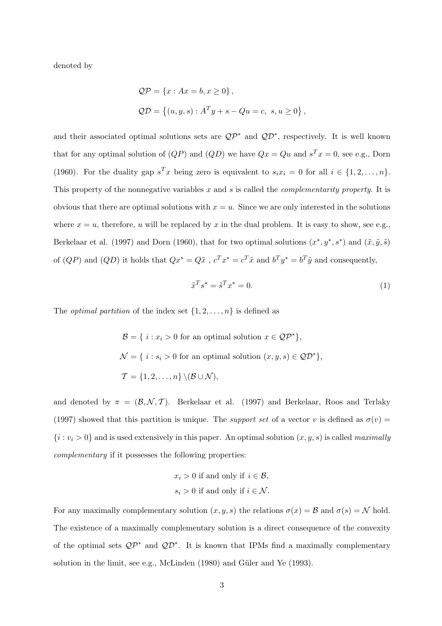denoted by

$$
QP = \{x : Ax = b, x \ge 0\},\
$$
  

$$
QD = \{(u, y, s) : A^T y + s - Qu = c, s, u \ge 0\},\
$$

and their associated optimal solutions sets are  $\mathcal{QP}^*$  and  $\mathcal{QP}^*$ , respectively. It is well known that for any optimal solution of  $(QP)$  and  $(QD)$  we have  $Qx = Qu$  and  $s^T x = 0$ , see e.g., Dorn (1960). For the duality gap  $s^T x$  being zero is equivalent to  $s_i x_i = 0$  for all  $i \in \{1, 2, ..., n\}$ . This property of the nonnegative variables x and s is called the *complementarity property*. It is obvious that there are optimal solutions with  $x = u$ . Since we are only interested in the solutions where  $x = u$ , therefore, u will be replaced by x in the dual problem. It is easy to show, see e.g., Berkelaar et al. (1997) and Dorn (1960), that for two optimal solutions  $(x^*, y^*, s^*)$  and  $(\tilde{x}, \tilde{y}, \tilde{s})$ of  $(QP)$  and  $(QD)$  it holds that  $Qx^* = Q\tilde{x}$ ,  $c^T x^* = c^T \tilde{x}$  and  $b^T y^* = b^T \tilde{y}$  and consequently,

$$
\tilde{x}^T s^* = \tilde{s}^T x^* = 0.
$$
\n<sup>(1)</sup>

The *optimal partition* of the index set  $\{1, 2, \ldots, n\}$  is defined as

 $\mathcal{B} = \{ i : x_i > 0 \text{ for an optimal solution } x \in \mathcal{QP}^* \},\$  $\mathcal{N} = \{ i : s_i > 0 \text{ for an optimal solution } (x, y, s) \in \mathcal{QD}^* \},$  $\mathcal{T} = \{1, 2, \ldots, n\} \setminus (\mathcal{B} \cup \mathcal{N}),$ 

and denoted by  $\pi = (\mathcal{B}, \mathcal{N}, \mathcal{T})$ . Berkelaar et al. (1997) and Berkelaar, Roos and Terlaky (1997) showed that this partition is unique. The *support set* of a vector v is defined as  $\sigma(v)$  =  ${i : v_i > 0}$  and is used extensively in this paper. An optimal solution  $(x, y, s)$  is called *maximally* complementary if it possesses the following properties:

$$
x_i > 0
$$
 if and only if  $i \in \mathcal{B}$ ,  
 $s_i > 0$  if and only if  $i \in \mathcal{N}$ .

For any maximally complementary solution  $(x, y, s)$  the relations  $\sigma(x) = \mathcal{B}$  and  $\sigma(s) = \mathcal{N}$  hold. The existence of a maximally complementary solution is a direct consequence of the convexity of the optimal sets  $QP^*$  and  $QP^*$ . It is known that IPMs find a maximally complementary solution in the limit, see e.g., McLinden  $(1980)$  and Güler and Ye  $(1993)$ .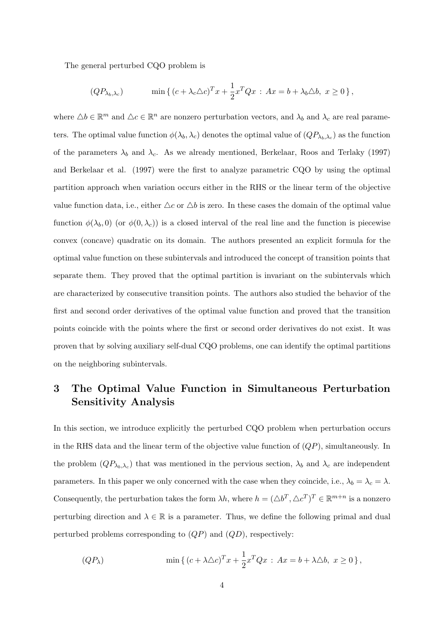The general perturbed CQO problem is

$$
(QP_{\lambda_b,\lambda_c}) \qquad \min\left\{ (c+\lambda_c\triangle c)^T x + \frac{1}{2}x^T Q x : Ax = b + \lambda_b \triangle b, \ x \ge 0 \right\},\
$$

where  $\Delta b \in \mathbb{R}^m$  and  $\Delta c \in \mathbb{R}^n$  are nonzero perturbation vectors, and  $\lambda_b$  and  $\lambda_c$  are real parameters. The optimal value function  $\phi(\lambda_b, \lambda_c)$  denotes the optimal value of  $(QP_{\lambda_b,\lambda_c})$  as the function of the parameters  $\lambda_b$  and  $\lambda_c$ . As we already mentioned, Berkelaar, Roos and Terlaky (1997) and Berkelaar et al. (1997) were the first to analyze parametric CQO by using the optimal partition approach when variation occurs either in the RHS or the linear term of the objective value function data, i.e., either  $\Delta c$  or  $\Delta b$  is zero. In these cases the domain of the optimal value function  $\phi(\lambda_b, 0)$  (or  $\phi(0, \lambda_c)$ ) is a closed interval of the real line and the function is piecewise convex (concave) quadratic on its domain. The authors presented an explicit formula for the optimal value function on these subintervals and introduced the concept of transition points that separate them. They proved that the optimal partition is invariant on the subintervals which are characterized by consecutive transition points. The authors also studied the behavior of the first and second order derivatives of the optimal value function and proved that the transition points coincide with the points where the first or second order derivatives do not exist. It was proven that by solving auxiliary self-dual CQO problems, one can identify the optimal partitions on the neighboring subintervals.

### 3 The Optimal Value Function in Simultaneous Perturbation Sensitivity Analysis

In this section, we introduce explicitly the perturbed CQO problem when perturbation occurs in the RHS data and the linear term of the objective value function of  $(QP)$ , simultaneously. In the problem  $(QP_{\lambda_b,\lambda_c})$  that was mentioned in the pervious section,  $\lambda_b$  and  $\lambda_c$  are independent parameters. In this paper we only concerned with the case when they coincide, i.e.,  $\lambda_b = \lambda_c = \lambda$ . Consequently, the perturbation takes the form  $\lambda h$ , where  $h = (\Delta b^T, \Delta c^T)^T \in \mathbb{R}^{m+n}$  is a nonzero perturbing direction and  $\lambda \in \mathbb{R}$  is a parameter. Thus, we define the following primal and dual perturbed problems corresponding to  $(QP)$  and  $(QD)$ , respectively:

$$
(QP_\lambda) \qquad \min\left\{ (c + \lambda \triangle c)^T x + \frac{1}{2} x^T Q x : Ax = b + \lambda \triangle b, \ x \ge 0 \right\},
$$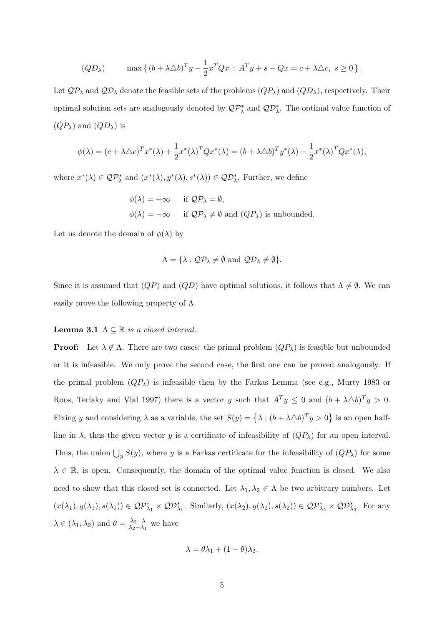$$
(QD_{\lambda}) \qquad \max\left\{ (b + \lambda \triangle b)^{T} y - \frac{1}{2} x^{T} Q x : A^{T} y + s - Q x = c + \lambda \triangle c, \ s \ge 0 \right\}.
$$

Let  $QP_\lambda$  and  $QP_\lambda$  denote the feasible sets of the problems  $(QP_\lambda)$  and  $(QD_\lambda)$ , respectively. Their optimal solution sets are analogously denoted by  $\mathcal{QP}_{\lambda}^*$  and  $\mathcal{QD}_{\lambda}^*$ . The optimal value function of  $(QP_\lambda)$  and  $(QD_\lambda)$  is

$$
\phi(\lambda) = (c + \lambda \Delta c)^T x^*(\lambda) + \frac{1}{2} x^*(\lambda)^T Q x^*(\lambda) = (b + \lambda \Delta b)^T y^*(\lambda) - \frac{1}{2} x^*(\lambda)^T Q x^*(\lambda),
$$

where  $x^*(\lambda) \in \mathcal{QP}_\lambda^*$  and  $(x^*(\lambda), y^*(\lambda), s^*(\lambda)) \in \mathcal{QP}_\lambda^*$ . Further, we define

$$
\phi(\lambda) = +\infty \quad \text{if } \mathcal{QP}_\lambda = \emptyset,
$$
  

$$
\phi(\lambda) = -\infty \quad \text{if } \mathcal{QP}_\lambda \neq \emptyset \text{ and } (QP_\lambda) \text{ is unbounded.}
$$

Let us denote the domain of  $\phi(\lambda)$  by

$$
\Lambda = \{ \lambda : \mathcal{QP}_{\lambda} \neq \emptyset \text{ and } \mathcal{QD}_{\lambda} \neq \emptyset \}.
$$

Since it is assumed that  $(QP)$  and  $(QD)$  have optimal solutions, it follows that  $\Lambda \neq \emptyset$ . We can easily prove the following property of  $\Lambda$ .

#### **Lemma 3.1**  $\Lambda \subseteq \mathbb{R}$  is a closed interval.

**Proof:** Let  $\lambda \notin \Lambda$ . There are two cases: the primal problem  $(QP_{\lambda})$  is feasible but unbounded or it is infeasible. We only prove the second case, the first one can be proved analogously. If the primal problem  $(QP_{\lambda})$  is infeasible then by the Farkas Lemma (see e.g., Murty 1983 or Roos, Terlaky and Vial 1997) there is a vector y such that  $A^T y \leq 0$  and  $(b + \lambda \Delta b)^T y > 0$ . Fixing y and considering  $\lambda$  as a variable, the set  $S(y) = {\lambda : (b + \lambda \Delta b)^T y > 0}$ is an open halfline in  $\lambda$ , thus the given vector y is a certificate of infeasibility of  $(QP_\lambda)$  for an open interval. Thus, the union  $\bigcup_{y} S(y)$ , where y is a Farkas certificate for the infeasibility of  $(QP_\lambda)$  for some  $\lambda \in \mathbb{R}$ , is open. Consequently, the domain of the optimal value function is closed. We also need to show that this closed set is connected. Let  $\lambda_1, \lambda_2 \in \Lambda$  be two arbitrary numbers. Let  $(x(\lambda_1), y(\lambda_1), s(\lambda_1)) \in \mathcal{QP}_{\lambda_1}^* \times \mathcal{QD}_{\lambda_1}^*$ . Similarly,  $(x(\lambda_2), y(\lambda_2), s(\lambda_2)) \in \mathcal{QP}_{\lambda_2}^* \times \mathcal{QD}_{\lambda_2}^*$ . For any  $\lambda \in (\lambda_1, \lambda_2)$  and  $\theta = \frac{\lambda_2 - \lambda_1}{\lambda_2 - \lambda_1}$  $\frac{\lambda_2 - \lambda_1}{\lambda_2 - \lambda_1}$  we have

$$
\lambda = \theta \lambda_1 + (1 - \theta) \lambda_2.
$$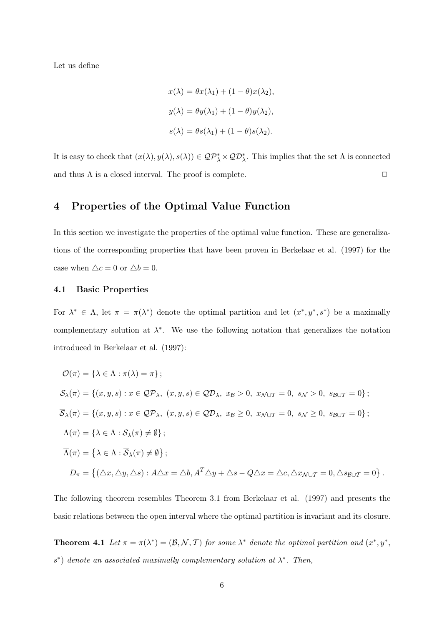Let us define

$$
x(\lambda) = \theta x(\lambda_1) + (1 - \theta)x(\lambda_2),
$$
  

$$
y(\lambda) = \theta y(\lambda_1) + (1 - \theta)y(\lambda_2),
$$
  

$$
s(\lambda) = \theta s(\lambda_1) + (1 - \theta)s(\lambda_2).
$$

It is easy to check that  $(x(\lambda), y(\lambda), s(\lambda)) \in \mathcal{QP}_\lambda^* \times \mathcal{QD}_\lambda^*$ . This implies that the set  $\Lambda$  is connected and thus  $\Lambda$  is a closed interval. The proof is complete.  $\Box$ 

#### 4 Properties of the Optimal Value Function

In this section we investigate the properties of the optimal value function. These are generalizations of the corresponding properties that have been proven in Berkelaar et al. (1997) for the case when  $\triangle c = 0$  or  $\triangle b = 0$ .

#### 4.1 Basic Properties

For  $\lambda^* \in \Lambda$ , let  $\pi = \pi(\lambda^*)$  denote the optimal partition and let  $(x^*, y^*, s^*)$  be a maximally complementary solution at  $\lambda^*$ . We use the following notation that generalizes the notation introduced in Berkelaar et al. (1997):

$$
\mathcal{O}(\pi) = \{ \lambda \in \Lambda : \pi(\lambda) = \pi \};
$$
  
\n
$$
\mathcal{S}_{\lambda}(\pi) = \{ (x, y, s) : x \in \mathcal{QP}_{\lambda}, (x, y, s) \in \mathcal{QD}_{\lambda}, x_{\mathcal{B}} > 0, x_{\mathcal{N} \cup \mathcal{T}} = 0, s_{\mathcal{N}} > 0, s_{\mathcal{B} \cup \mathcal{T}} = 0 \};
$$
  
\n
$$
\overline{\mathcal{S}}_{\lambda}(\pi) = \{ (x, y, s) : x \in \mathcal{QP}_{\lambda}, (x, y, s) \in \mathcal{QD}_{\lambda}, x_{\mathcal{B}} \ge 0, x_{\mathcal{N} \cup \mathcal{T}} = 0, s_{\mathcal{N}} \ge 0, s_{\mathcal{B} \cup \mathcal{T}} = 0 \};
$$
  
\n
$$
\Lambda(\pi) = \{ \lambda \in \Lambda : \overline{\mathcal{S}}_{\lambda}(\pi) \neq \emptyset \};
$$
  
\n
$$
\overline{\Lambda}(\pi) = \{ \lambda \in \Lambda : \overline{\mathcal{S}}_{\lambda}(\pi) \neq \emptyset \};
$$
  
\n
$$
D_{\pi} = \{ (\Delta x, \Delta y, \Delta s) : A\Delta x = \Delta b, A^T \Delta y + \Delta s - Q\Delta x = \Delta c, \Delta x_{\mathcal{N} \cup \mathcal{T}} = 0, \Delta s_{\mathcal{B} \cup \mathcal{T}} = 0 \}
$$

The following theorem resembles Theorem 3.1 from Berkelaar et al. (1997) and presents the basic relations between the open interval where the optimal partition is invariant and its closure.

.

**Theorem 4.1** Let  $\pi = \pi(\lambda^*) = (\mathcal{B}, \mathcal{N}, \mathcal{T})$  for some  $\lambda^*$  denote the optimal partition and  $(x^*, y^*, \mathcal{T})$  $s^*$ ) denote an associated maximally complementary solution at  $\lambda^*$ . Then,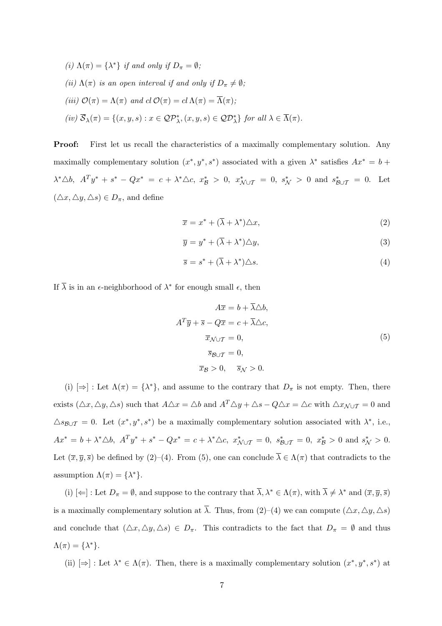(i)  $\Lambda(\pi) = {\lambda^*}$  if and only if  $D_{\pi} = \emptyset$ ; (ii)  $\Lambda(\pi)$  is an open interval if and only if  $D_{\pi} \neq \emptyset$ ; (iii)  $\mathcal{O}(\pi) = \Lambda(\pi)$  and  $cl \mathcal{O}(\pi) = cl \Lambda(\pi) = \overline{\Lambda}(\pi);$  $(iv) \overline{S}_{\lambda}(\pi) = \{(x, y, s) : x \in \mathcal{QP}_{\lambda}^*, (x, y, s) \in \mathcal{QD}_{\lambda}^*\}$  for all  $\lambda \in \overline{\Lambda}(\pi)$ .

Proof: First let us recall the characteristics of a maximally complementary solution. Any maximally complementary solution  $(x^*, y^*, s^*)$  associated with a given  $\lambda^*$  satisfies  $Ax^* = b +$  $\lambda^* \triangle b$ ,  $A^T y^* + s^* - Qx^* = c + \lambda^* \triangle c$ ,  $x^*_{\mathcal{B}} > 0$ ,  $x^*_{\mathcal{N} \cup \mathcal{T}} = 0$ ,  $s^*_{\mathcal{N}} > 0$  and  $s^*_{\mathcal{B} \cup \mathcal{T}} = 0$ . Let  $(\triangle x, \triangle y, \triangle s) \in D_{\pi}$ , and define

$$
\overline{x} = x^* + (\overline{\lambda} + \lambda^*) \triangle x,\tag{2}
$$

$$
\overline{y} = y^* + (\overline{\lambda} + \lambda^*) \triangle y,\tag{3}
$$

$$
\overline{s} = s^* + (\overline{\lambda} + \lambda^*) \triangle s. \tag{4}
$$

If  $\overline{\lambda}$  is in an  $\epsilon$ -neighborhood of  $\lambda^*$  for enough small  $\epsilon$ , then

$$
A\overline{x} = b + \overline{\lambda} \triangle b,
$$
  
\n
$$
A^T \overline{y} + \overline{s} - Q\overline{x} = c + \overline{\lambda} \triangle c,
$$
  
\n
$$
\overline{x}_{\mathcal{N} \cup \mathcal{T}} = 0,
$$
  
\n
$$
\overline{s}_{\mathcal{B} \cup \mathcal{T}} = 0,
$$
  
\n
$$
\overline{x}_{\mathcal{B}} > 0, \quad \overline{s}_{\mathcal{N}} > 0.
$$
\n(5)

(i)  $[\Rightarrow] : \text{Let } \Lambda(\pi) = {\lambda^*},$  and assume to the contrary that  $D_{\pi}$  is not empty. Then, there exists  $(\triangle x, \triangle y, \triangle s)$  such that  $A\triangle x = \triangle b$  and  $A^T \triangle y + \triangle s - Q\triangle x = \triangle c$  with  $\triangle x_{\mathcal{N} \cup \mathcal{T}} = 0$  and  $\triangle s_{\mathcal{B}\cup\mathcal{T}} = 0$ . Let  $(x^*, y^*, s^*)$  be a maximally complementary solution associated with  $\lambda^*$ , i.e.,  $Ax^* = b + \lambda^* \triangle b$ ,  $A^T y^* + s^* - Qx^* = c + \lambda^* \triangle c$ ,  $x^*_{\mathcal{N} \cup \mathcal{T}} = 0$ ,  $s^*_{\mathcal{B} \cup \mathcal{T}} = 0$ ,  $x^*_{\mathcal{B}} > 0$  and  $s^*_{\mathcal{N}} > 0$ . Let  $(\overline{x}, \overline{y}, \overline{s})$  be defined by (2)–(4). From (5), one can conclude  $\overline{\lambda} \in \Lambda(\pi)$  that contradicts to the assumption  $\Lambda(\pi) = {\lambda^*}.$ 

(i)  $\left[\Leftarrow\right]$ : Let  $D_{\pi} = \emptyset$ , and suppose to the contrary that  $\overline{\lambda}, \lambda^* \in \Lambda(\pi)$ , with  $\overline{\lambda} \neq \lambda^*$  and  $(\overline{x}, \overline{y}, \overline{s})$ is a maximally complementary solution at  $\overline{\lambda}$ . Thus, from (2)–(4) we can compute ( $\Delta x, \Delta y, \Delta s$ ) and conclude that  $(\triangle x, \triangle y, \triangle s) \in D_{\pi}$ . This contradicts to the fact that  $D_{\pi} = \emptyset$  and thus  $\Lambda(\pi) = {\lambda^*}.$ 

(ii)  $[\Rightarrow] : \text{Let } \lambda^* \in \Lambda(\pi)$ . Then, there is a maximally complementary solution  $(x^*, y^*, s^*)$  at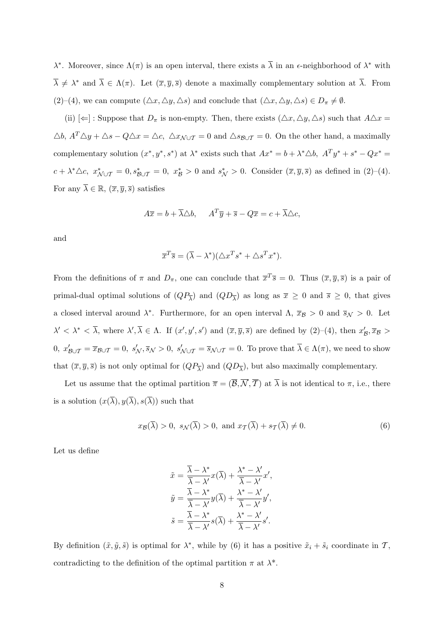λ<sup>\*</sup>. Moreover, since  $Λ(π)$  is an open interval, there exists a  $\overline{λ}$  in an  $ε$ -neighborhood of  $λ^*$  with  $\overline{\lambda} \neq \lambda^*$  and  $\overline{\lambda} \in \Lambda(\pi)$ . Let  $(\overline{x}, \overline{y}, \overline{s})$  denote a maximally complementary solution at  $\overline{\lambda}$ . From (2)–(4), we can compute  $(\triangle x, \triangle y, \triangle s)$  and conclude that  $(\triangle x, \triangle y, \triangle s) \in D_{\pi} \neq \emptyset$ .

(ii)  $[\Leftarrow]$ : Suppose that  $D_{\pi}$  is non-empty. Then, there exists  $(\triangle x, \triangle y, \triangle s)$  such that  $A \triangle x =$  $\triangle b$ ,  $A^T \triangle y + \triangle s - Q \triangle x = \triangle c$ ,  $\triangle x_{\mathcal{N} \cup \mathcal{T}} = 0$  and  $\triangle s_{\mathcal{B} \cup \mathcal{T}} = 0$ . On the other hand, a maximally complementary solution  $(x^*, y^*, s^*)$  at  $\lambda^*$  exists such that  $Ax^* = b + \lambda^* \triangle b$ ,  $A^T y^* + s^* - Qx^* = b$  $c + \lambda^* \triangle c$ ,  $x^*_{\mathcal{N} \cup \mathcal{T}} = 0$ ,  $s^*_{\mathcal{B} \cup \mathcal{T}} = 0$ ,  $x^*_{\mathcal{B}} > 0$  and  $s^*_{\mathcal{N}} > 0$ . Consider  $(\overline{x}, \overline{y}, \overline{s})$  as defined in (2)-(4). For any  $\overline{\lambda} \in \mathbb{R}$ ,  $(\overline{x}, \overline{y}, \overline{s})$  satisfies

$$
A\overline{x} = b + \overline{\lambda} \triangle b, \quad A^T \overline{y} + \overline{s} - Q\overline{x} = c + \overline{\lambda} \triangle c,
$$

and

$$
\overline{x}^T \overline{s} = (\overline{\lambda} - \lambda^*)(\triangle x^T s^* + \triangle s^T x^*).
$$

From the definitions of  $\pi$  and  $D_{\pi}$ , one can conclude that  $\overline{x}^T \overline{s} = 0$ . Thus  $(\overline{x}, \overline{y}, \overline{s})$  is a pair of primal-dual optimal solutions of  $(QP_{\overline{\lambda}})$  and  $(QD_{\overline{\lambda}})$  as long as  $\overline{x} \geq 0$  and  $\overline{s} \geq 0$ , that gives a closed interval around  $\lambda^*$ . Furthermore, for an open interval  $\Lambda$ ,  $\overline{x}_{\mathcal{B}} > 0$  and  $\overline{s}_{\mathcal{N}} > 0$ . Let  $\lambda' < \lambda^* < \overline{\lambda}$ , where  $\lambda', \overline{\lambda} \in \Lambda$ . If  $(x', y', s')$  and  $(\overline{x}, \overline{y}, \overline{s})$  are defined by  $(2)-(4)$ , then  $x'_{\mathcal{B}}, \overline{x}_{\mathcal{B}} >$  $0, x'_{\mathcal{B}\cup\mathcal{T}} = \overline{x}_{\mathcal{B}\cup\mathcal{T}} = 0, s'_{\mathcal{N}}, \overline{s}_{\mathcal{N}} > 0, s'_{\mathcal{N}\cup\mathcal{T}} = \overline{s}_{\mathcal{N}\cup\mathcal{T}} = 0$ . To prove that  $\overline{\lambda} \in \Lambda(\pi)$ , we need to show that  $(\overline{x}, \overline{y}, \overline{s})$  is not only optimal for  $(QP_{\overline{\lambda}})$  and  $(QD_{\overline{\lambda}})$ , but also maximally complementary.

Let us assume that the optimal partition  $\bar{\pi} = (\bar{\mathcal{B}}, \bar{\mathcal{N}}, \bar{\mathcal{T}})$  at  $\bar{\lambda}$  is not identical to  $\pi$ , i.e., there is a solution  $(x(\overline{\lambda}), y(\overline{\lambda}), s(\overline{\lambda}))$  such that

$$
x_{\mathcal{B}}(\overline{\lambda}) > 0, \ s_{\mathcal{N}}(\overline{\lambda}) > 0, \text{ and } x_{\mathcal{T}}(\overline{\lambda}) + s_{\mathcal{T}}(\overline{\lambda}) \neq 0. \tag{6}
$$

Let us define

$$
\tilde{x} = \frac{\overline{\lambda} - \lambda^*}{\overline{\lambda} - \lambda'} x(\overline{\lambda}) + \frac{\lambda^* - \lambda'}{\overline{\lambda} - \lambda'} x',
$$

$$
\tilde{y} = \frac{\overline{\lambda} - \lambda^*}{\overline{\lambda} - \lambda'} y(\overline{\lambda}) + \frac{\lambda^* - \lambda'}{\overline{\lambda} - \lambda'} y',
$$

$$
\tilde{s} = \frac{\overline{\lambda} - \lambda^*}{\overline{\lambda} - \lambda'} s(\overline{\lambda}) + \frac{\lambda^* - \lambda'}{\overline{\lambda} - \lambda'} s'.
$$

By definition  $(\tilde{x}, \tilde{y}, \tilde{s})$  is optimal for  $\lambda^*$ , while by (6) it has a positive  $\tilde{x}_i + \tilde{s}_i$  coordinate in T, contradicting to the definition of the optimal partition  $\pi$  at  $\lambda^*$ .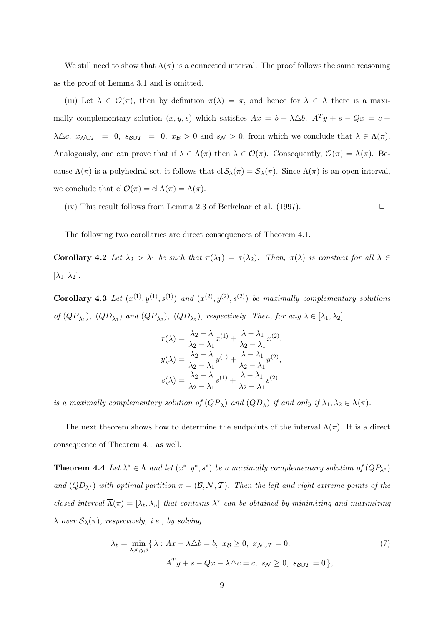We still need to show that  $\Lambda(\pi)$  is a connected interval. The proof follows the same reasoning as the proof of Lemma 3.1 and is omitted.

(iii) Let  $\lambda \in \mathcal{O}(\pi)$ , then by definition  $\pi(\lambda) = \pi$ , and hence for  $\lambda \in \Lambda$  there is a maximally complementary solution  $(x, y, s)$  which satisfies  $Ax = b + \lambda \Delta b$ ,  $A^T y + s - Qx = c +$  $\lambda \triangle c$ ,  $x_{\mathcal{N} \cup \mathcal{T}} = 0$ ,  $s_{\mathcal{B} \cup \mathcal{T}} = 0$ ,  $x_{\mathcal{B}} > 0$  and  $s_{\mathcal{N}} > 0$ , from which we conclude that  $\lambda \in \Lambda(\pi)$ . Analogously, one can prove that if  $\lambda \in \Lambda(\pi)$  then  $\lambda \in \mathcal{O}(\pi)$ . Consequently,  $\mathcal{O}(\pi) = \Lambda(\pi)$ . Because  $\Lambda(\pi)$  is a polyhedral set, it follows that  $cl \mathcal{S}_{\lambda}(\pi) = \overline{\mathcal{S}}_{\lambda}(\pi)$ . Since  $\Lambda(\pi)$  is an open interval, we conclude that  $cl\mathcal{O}(\pi) = cl\Lambda(\pi) = \overline{\Lambda}(\pi)$ .

(iv) This result follows from Lemma 2.3 of Berkelaar et al. (1997).  $\Box$ 

The following two corollaries are direct consequences of Theorem 4.1.

Corollary 4.2 Let  $\lambda_2 > \lambda_1$  be such that  $\pi(\lambda_1) = \pi(\lambda_2)$ . Then,  $\pi(\lambda)$  is constant for all  $\lambda \in$  $[\lambda_1, \lambda_2].$ 

**Corollary 4.3** Let  $(x^{(1)}, y^{(1)}, s^{(1)})$  and  $(x^{(2)}, y^{(2)}, s^{(2)})$  be maximally complementary solutions of  $(QP_{\lambda_1})$ ,  $(QD_{\lambda_1})$  and  $(QP_{\lambda_2})$ ,  $(QD_{\lambda_2})$ , respectively. Then, for any  $\lambda \in [\lambda_1, \lambda_2]$ 

$$
x(\lambda) = \frac{\lambda_2 - \lambda}{\lambda_2 - \lambda_1} x^{(1)} + \frac{\lambda - \lambda_1}{\lambda_2 - \lambda_1} x^{(2)},
$$
  

$$
y(\lambda) = \frac{\lambda_2 - \lambda}{\lambda_2 - \lambda_1} y^{(1)} + \frac{\lambda - \lambda_1}{\lambda_2 - \lambda_1} y^{(2)},
$$
  

$$
s(\lambda) = \frac{\lambda_2 - \lambda}{\lambda_2 - \lambda_1} s^{(1)} + \frac{\lambda - \lambda_1}{\lambda_2 - \lambda_1} s^{(2)}
$$

is a maximally complementary solution of  $(QP_\lambda)$  and  $(QD_\lambda)$  if and only if  $\lambda_1, \lambda_2 \in \Lambda(\pi)$ .

The next theorem shows how to determine the endpoints of the interval  $\overline{\Lambda}(\pi)$ . It is a direct consequence of Theorem 4.1 as well.

**Theorem 4.4** Let  $\lambda^* \in \Lambda$  and let  $(x^*, y^*, s^*)$  be a maximally complementary solution of  $(QP_{\lambda^*})$ and  $(QD_{\lambda^*})$  with optimal partition  $\pi = (\mathcal{B}, \mathcal{N}, \mathcal{T})$ . Then the left and right extreme points of the closed interval  $\overline{\Lambda}(\pi) = [\lambda_{\ell}, \lambda_u]$  that contains  $\lambda^*$  can be obtained by minimizing and maximizing  $\lambda$  over  $\overline{S}_{\lambda}(\pi)$ , respectively, i.e., by solving

$$
\lambda_{\ell} = \min_{\lambda, x, y, s} \{ \lambda : Ax - \lambda \Delta b = b, \ x_{\mathcal{B}} \ge 0, \ x_{\mathcal{N} \cup \mathcal{T}} = 0, \tag{7}
$$

$$
A^T y + s - Qx - \lambda \Delta c = c, \ s_{\mathcal{N}} \ge 0, \ s_{\mathcal{B} \cup \mathcal{T}} = 0 \},
$$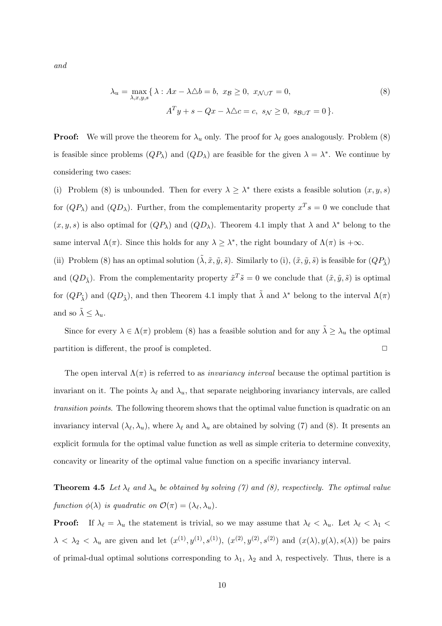and

$$
\lambda_u = \max_{\lambda, x, y, s} \{ \lambda : Ax - \lambda \Delta b = b, \ x_{\mathcal{B}} \ge 0, \ x_{\mathcal{N} \cup \mathcal{T}} = 0, \tag{8}
$$
\n
$$
A^T y + s - Qx - \lambda \Delta c = c, \ s_{\mathcal{N}} \ge 0, \ s_{\mathcal{B} \cup \mathcal{T}} = 0 \}.
$$

**Proof:** We will prove the theorem for  $\lambda_u$  only. The proof for  $\lambda_\ell$  goes analogously. Problem (8) is feasible since problems  $(QP_\lambda)$  and  $(QD_\lambda)$  are feasible for the given  $\lambda = \lambda^*$ . We continue by considering two cases:

(i) Problem (8) is unbounded. Then for every  $\lambda \geq \lambda^*$  there exists a feasible solution  $(x, y, s)$ for  $(QP_\lambda)$  and  $(QD_\lambda)$ . Further, from the complementarity property  $x^T s = 0$  we conclude that  $(x, y, s)$  is also optimal for  $(QP_\lambda)$  and  $(QD_\lambda)$ . Theorem 4.1 imply that  $\lambda$  and  $\lambda^*$  belong to the same interval  $\Lambda(\pi)$ . Since this holds for any  $\lambda \geq \lambda^*$ , the right boundary of  $\Lambda(\pi)$  is  $+\infty$ .

(ii) Problem (8) has an optimal solution  $(\tilde{\lambda}, \tilde{x}, \tilde{y}, \tilde{s})$ . Similarly to (i),  $(\tilde{x}, \tilde{y}, \tilde{s})$  is feasible for  $(QP_{\tilde{\lambda}})$ and  $(QD_{\tilde{\lambda}})$ . From the complementarity property  $\tilde{x}^T \tilde{s} = 0$  we conclude that  $(\tilde{x}, \tilde{y}, \tilde{s})$  is optimal for  $(QP_{\tilde{\lambda}})$  and  $(QD_{\tilde{\lambda}})$ , and then Theorem 4.1 imply that  $\tilde{\lambda}$  and  $\lambda^*$  belong to the interval  $\Lambda(\pi)$ and so  $\lambda \leq \lambda_u$ .

Since for every  $\lambda \in \Lambda(\pi)$  problem (8) has a feasible solution and for any  $\tilde{\lambda} \ge \lambda_u$  the optimal partition is different, the proof is completed.  $\Box$ 

The open interval  $\Lambda(\pi)$  is referred to as *invariancy interval* because the optimal partition is invariant on it. The points  $\lambda_{\ell}$  and  $\lambda_{u}$ , that separate neighboring invariancy intervals, are called transition points. The following theorem shows that the optimal value function is quadratic on an invariancy interval  $(\lambda_{\ell}, \lambda_u)$ , where  $\lambda_{\ell}$  and  $\lambda_u$  are obtained by solving (7) and (8). It presents an explicit formula for the optimal value function as well as simple criteria to determine convexity, concavity or linearity of the optimal value function on a specific invariancy interval.

**Theorem 4.5** Let  $\lambda_{\ell}$  and  $\lambda_u$  be obtained by solving (7) and (8), respectively. The optimal value function  $\phi(\lambda)$  is quadratic on  $\mathcal{O}(\pi) = (\lambda_{\ell}, \lambda_u)$ .

**Proof:** If  $\lambda_{\ell} = \lambda_u$  the statement is trivial, so we may assume that  $\lambda_{\ell} < \lambda_u$ . Let  $\lambda_{\ell} < \lambda_1 <$  $\lambda < \lambda_2 < \lambda_u$  are given and let  $(x^{(1)}, y^{(1)}, s^{(1)})$ ,  $(x^{(2)}, y^{(2)}, s^{(2)})$  and  $(x(\lambda), y(\lambda), s(\lambda))$  be pairs of primal-dual optimal solutions corresponding to  $\lambda_1$ ,  $\lambda_2$  and  $\lambda$ , respectively. Thus, there is a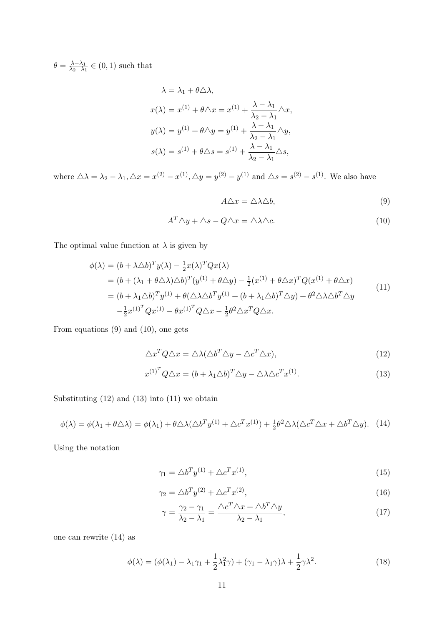$\theta = \frac{\lambda - \lambda_1}{\lambda_0 - \lambda_1}$  $\frac{\lambda-\lambda_1}{\lambda_2-\lambda_1} \in (0,1)$  such that

$$
\lambda = \lambda_1 + \theta \triangle \lambda,
$$
  
\n
$$
x(\lambda) = x^{(1)} + \theta \triangle x = x^{(1)} + \frac{\lambda - \lambda_1}{\lambda_2 - \lambda_1} \triangle x,
$$
  
\n
$$
y(\lambda) = y^{(1)} + \theta \triangle y = y^{(1)} + \frac{\lambda - \lambda_1}{\lambda_2 - \lambda_1} \triangle y,
$$
  
\n
$$
s(\lambda) = s^{(1)} + \theta \triangle s = s^{(1)} + \frac{\lambda - \lambda_1}{\lambda_2 - \lambda_1} \triangle s,
$$

where  $\triangle \lambda = \lambda_2 - \lambda_1, \triangle x = x^{(2)} - x^{(1)}, \triangle y = y^{(2)} - y^{(1)}$  and  $\triangle s = s^{(2)} - s^{(1)}$ . We also have

$$
A\triangle x = \triangle \lambda \triangle b,\tag{9}
$$

$$
A^T \triangle y + \triangle s - Q \triangle x = \triangle \lambda \triangle c. \tag{10}
$$

The optimal value function at  $\lambda$  is given by

$$
\phi(\lambda) = (b + \lambda \Delta b)^T y(\lambda) - \frac{1}{2} x(\lambda)^T Q x(\lambda)
$$
  
\n
$$
= (b + (\lambda_1 + \theta \Delta \lambda) \Delta b)^T (y^{(1)} + \theta \Delta y) - \frac{1}{2} (x^{(1)} + \theta \Delta x)^T Q (x^{(1)} + \theta \Delta x)
$$
  
\n
$$
= (b + \lambda_1 \Delta b)^T y^{(1)} + \theta (\Delta \lambda \Delta b^T y^{(1)} + (b + \lambda_1 \Delta b)^T \Delta y) + \theta^2 \Delta \lambda \Delta b^T \Delta y
$$
  
\n
$$
- \frac{1}{2} x^{(1)^T} Q x^{(1)} - \theta x^{(1)^T} Q \Delta x - \frac{1}{2} \theta^2 \Delta x^T Q \Delta x.
$$
\n(11)

From equations (9) and (10), one gets

$$
\Delta x^T Q \Delta x = \Delta \lambda (\Delta b^T \Delta y - \Delta c^T \Delta x), \qquad (12)
$$

$$
x^{(1)^{T}} Q \triangle x = (b + \lambda_1 \triangle b)^{T} \triangle y - \triangle \lambda \triangle c^{T} x^{(1)}.
$$
\n(13)

Substituting (12) and (13) into (11) we obtain

$$
\phi(\lambda) = \phi(\lambda_1 + \theta \triangle \lambda) = \phi(\lambda_1) + \theta \triangle \lambda (\triangle b^T y^{(1)} + \triangle c^T x^{(1)}) + \frac{1}{2} \theta^2 \triangle \lambda (\triangle c^T \triangle x + \triangle b^T \triangle y).
$$
 (14)

Using the notation

$$
\gamma_1 = \Delta b^T y^{(1)} + \Delta c^T x^{(1)},\tag{15}
$$

$$
\gamma_2 = \Delta b^T y^{(2)} + \Delta c^T x^{(2)},\tag{16}
$$

$$
\gamma = \frac{\gamma_2 - \gamma_1}{\lambda_2 - \lambda_1} = \frac{\Delta c^T \Delta x + \Delta b^T \Delta y}{\lambda_2 - \lambda_1},\tag{17}
$$

one can rewrite (14) as

$$
\phi(\lambda) = (\phi(\lambda_1) - \lambda_1 \gamma_1 + \frac{1}{2} \lambda_1^2 \gamma) + (\gamma_1 - \lambda_1 \gamma) \lambda + \frac{1}{2} \gamma \lambda^2.
$$
 (18)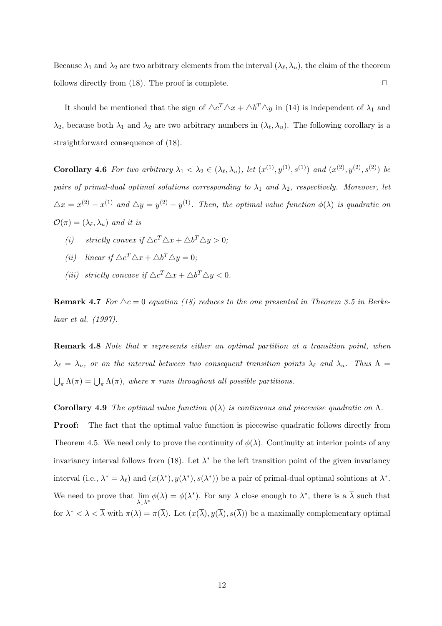Because  $\lambda_1$  and  $\lambda_2$  are two arbitrary elements from the interval  $(\lambda_\ell, \lambda_u)$ , the claim of the theorem follows directly from  $(18)$ . The proof is complete.  $\Box$ 

It should be mentioned that the sign of  $\Delta c^T \Delta x + \Delta b^T \Delta y$  in (14) is independent of  $\lambda_1$  and  $\lambda_2$ , because both  $\lambda_1$  and  $\lambda_2$  are two arbitrary numbers in  $(\lambda_\ell, \lambda_u)$ . The following corollary is a straightforward consequence of (18).

Corollary 4.6 For two arbitrary  $\lambda_1 < \lambda_2 \in (\lambda_{\ell}, \lambda_u)$ , let  $(x^{(1)}, y^{(1)}, s^{(1)})$  and  $(x^{(2)}, y^{(2)}, s^{(2)})$  be pairs of primal-dual optimal solutions corresponding to  $\lambda_1$  and  $\lambda_2$ , respectively. Moreover, let  $\Delta x = x^{(2)} - x^{(1)}$  and  $\Delta y = y^{(2)} - y^{(1)}$ . Then, the optimal value function  $\phi(\lambda)$  is quadratic on  $\mathcal{O}(\pi) = (\lambda_{\ell}, \lambda_u)$  and it is

- (i) strictly convex if  $\Delta c^T \Delta x + \Delta b^T \Delta y > 0$ ;
- (ii) linear if  $\Delta c^T \Delta x + \Delta b^T \Delta y = 0$ ;
- (iii) strictly concave if  $\Delta c^T \Delta x + \Delta b^T \Delta y < 0$ .

**Remark 4.7** For  $\Delta c = 0$  equation (18) reduces to the one presented in Theorem 3.5 in Berkelaar et al. (1997).

**Remark 4.8** Note that  $\pi$  represents either an optimal partition at a transition point, when  $\lambda_{\ell} = \lambda_{u}$ , or on the interval between two consequent transition points  $\lambda_{\ell}$  and  $\lambda_{u}$ . Thus  $\Lambda =$  $\bigcup_{\pi} \Lambda(\pi) = \bigcup_{\pi} \overline{\Lambda}(\pi)$ , where  $\pi$  runs throughout all possible partitions.

Corollary 4.9 The optimal value function  $\phi(\lambda)$  is continuous and piecewise quadratic on  $\Lambda$ .

**Proof:** The fact that the optimal value function is piecewise quadratic follows directly from Theorem 4.5. We need only to prove the continuity of  $\phi(\lambda)$ . Continuity at interior points of any invariancy interval follows from (18). Let  $\lambda^*$  be the left transition point of the given invariancy interval (i.e.,  $\lambda^* = \lambda_\ell$ ) and  $(x(\lambda^*), y(\lambda^*), s(\lambda^*))$  be a pair of primal-dual optimal solutions at  $\lambda^*$ . We need to prove that  $\lim_{\lambda \downarrow \lambda^*} \phi(\lambda) = \phi(\lambda^*)$ . For any  $\lambda$  close enough to  $\lambda^*$ , there is a  $\overline{\lambda}$  such that for  $\lambda^* < \lambda < \overline{\lambda}$  with  $\pi(\lambda) = \pi(\overline{\lambda})$ . Let  $(x(\overline{\lambda}), y(\overline{\lambda}), s(\overline{\lambda}))$  be a maximally complementary optimal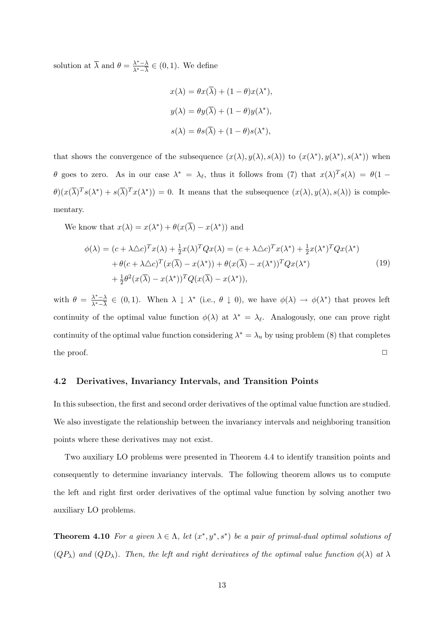solution at  $\overline{\lambda}$  and  $\theta = \frac{\lambda^* - \lambda}{\lambda^* - \overline{\lambda}}$  $\frac{\lambda^* - \lambda}{\lambda^* - \overline{\lambda}} \in (0, 1)$ . We define

$$
x(\lambda) = \theta x(\overline{\lambda}) + (1 - \theta)x(\lambda^*),
$$
  

$$
y(\lambda) = \theta y(\overline{\lambda}) + (1 - \theta)y(\lambda^*),
$$
  

$$
s(\lambda) = \theta s(\overline{\lambda}) + (1 - \theta)s(\lambda^*),
$$

that shows the convergence of the subsequence  $(x(\lambda), y(\lambda), s(\lambda))$  to  $(x(\lambda^*), y(\lambda^*), s(\lambda^*))$  when θ goes to zero. As in our case  $\lambda^* = \lambda_\ell$ , thus it follows from (7) that  $x(\lambda)^T s(\lambda) = \theta(1 - \lambda_\ell)$  $\theta(x(\overline{\lambda})^T s(\lambda^*) + s(\overline{\lambda})^T x(\lambda^*)) = 0$ . It means that the subsequence  $(x(\lambda), y(\lambda), s(\lambda))$  is complementary.

We know that  $x(\lambda) = x(\lambda^*) + \theta(x(\overline{\lambda}) - x(\lambda^*))$  and

$$
\phi(\lambda) = (c + \lambda \Delta c)^T x(\lambda) + \frac{1}{2} x(\lambda)^T Q x(\lambda) = (c + \lambda \Delta c)^T x(\lambda^*) + \frac{1}{2} x(\lambda^*)^T Q x(\lambda^*)
$$
  
+ 
$$
\theta(c + \lambda \Delta c)^T (x(\overline{\lambda}) - x(\lambda^*)) + \theta(x(\overline{\lambda}) - x(\lambda^*))^T Q x(\lambda^*)
$$
  
+ 
$$
\frac{1}{2} \theta^2 (x(\overline{\lambda}) - x(\lambda^*))^T Q (x(\overline{\lambda}) - x(\lambda^*)),
$$
\n(19)

with  $\theta = \frac{\lambda^* - \lambda}{\lambda^* - \overline{\lambda}}$  $\frac{\lambda^*-\lambda}{\lambda^*-\lambda} \in (0,1)$ . When  $\lambda \downarrow \lambda^*$  (i.e.,  $\theta \downarrow 0$ ), we have  $\phi(\lambda) \to \phi(\lambda^*)$  that proves left continuity of the optimal value function  $\phi(\lambda)$  at  $\lambda^* = \lambda_{\ell}$ . Analogously, one can prove right continuity of the optimal value function considering  $\lambda^* = \lambda_u$  by using problem (8) that completes the proof.  $\Box$ 

#### 4.2 Derivatives, Invariancy Intervals, and Transition Points

In this subsection, the first and second order derivatives of the optimal value function are studied. We also investigate the relationship between the invariancy intervals and neighboring transition points where these derivatives may not exist.

Two auxiliary LO problems were presented in Theorem 4.4 to identify transition points and consequently to determine invariancy intervals. The following theorem allows us to compute the left and right first order derivatives of the optimal value function by solving another two auxiliary LO problems.

**Theorem 4.10** For a given  $\lambda \in \Lambda$ , let  $(x^*, y^*, s^*)$  be a pair of primal-dual optimal solutions of  $(QP_\lambda)$  and  $(QD_\lambda)$ . Then, the left and right derivatives of the optimal value function  $\phi(\lambda)$  at  $\lambda$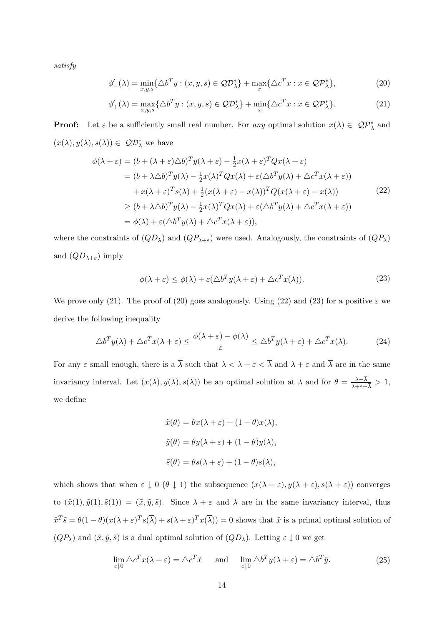satisfy

$$
\phi'_{-}(\lambda) = \min_{x,y,s} \{ \Delta b^T y : (x,y,s) \in \mathcal{QD}_{\lambda}^* \} + \max_{x} \{ \Delta c^T x : x \in \mathcal{QD}_{\lambda}^* \},
$$
\n(20)

$$
\phi'_{+}(\lambda) = \max_{x,y,s} \{\Delta b^T y : (x,y,s) \in \mathcal{QD}_{\lambda}^*\} + \min_{x} \{\Delta c^T x : x \in \mathcal{QD}_{\lambda}^*\}.
$$
\n(21)

**Proof:** Let  $\varepsilon$  be a sufficiently small real number. For any optimal solution  $x(\lambda) \in \mathcal{QP}_\lambda^*$  and  $(x(\lambda), y(\lambda), s(\lambda)) \in \mathcal{QD}_{\lambda}^{*}$  we have

$$
\phi(\lambda + \varepsilon) = (b + (\lambda + \varepsilon)\Delta b)^T y(\lambda + \varepsilon) - \frac{1}{2}x(\lambda + \varepsilon)^T Qx(\lambda + \varepsilon)
$$
  
\n
$$
= (b + \lambda\Delta b)^T y(\lambda) - \frac{1}{2}x(\lambda)^T Qx(\lambda) + \varepsilon(\Delta b^T y(\lambda) + \Delta c^T x(\lambda + \varepsilon))
$$
  
\n
$$
+ x(\lambda + \varepsilon)^T s(\lambda) + \frac{1}{2}(x(\lambda + \varepsilon) - x(\lambda))^T Q(x(\lambda + \varepsilon) - x(\lambda))
$$
  
\n
$$
\ge (b + \lambda\Delta b)^T y(\lambda) - \frac{1}{2}x(\lambda)^T Qx(\lambda) + \varepsilon(\Delta b^T y(\lambda) + \Delta c^T x(\lambda + \varepsilon))
$$
  
\n
$$
= \phi(\lambda) + \varepsilon(\Delta b^T y(\lambda) + \Delta c^T x(\lambda + \varepsilon)),
$$
\n(22)

where the constraints of  $(QD_\lambda)$  and  $(QP_{\lambda+\varepsilon})$  were used. Analogously, the constraints of  $(QP_\lambda)$ and  $(QD_{\lambda+\varepsilon})$  imply

$$
\phi(\lambda + \varepsilon) \le \phi(\lambda) + \varepsilon (\Delta b^T y(\lambda + \varepsilon) + \Delta c^T x(\lambda)).
$$
\n(23)

We prove only (21). The proof of (20) goes analogously. Using (22) and (23) for a positive  $\varepsilon$  we derive the following inequality

$$
\Delta b^T y(\lambda) + \Delta c^T x(\lambda + \varepsilon) \le \frac{\phi(\lambda + \varepsilon) - \phi(\lambda)}{\varepsilon} \le \Delta b^T y(\lambda + \varepsilon) + \Delta c^T x(\lambda).
$$
 (24)

For any  $\varepsilon$  small enough, there is a  $\overline{\lambda}$  such that  $\lambda < \lambda + \varepsilon < \overline{\lambda}$  and  $\lambda + \varepsilon$  and  $\overline{\lambda}$  are in the same invariancy interval. Let  $(x(\overline{\lambda}), y(\overline{\lambda}), s(\overline{\lambda}))$  be an optimal solution at  $\overline{\lambda}$  and for  $\theta = \frac{\lambda - \overline{\lambda}}{\lambda}$  $\frac{\lambda-\lambda}{\lambda+\varepsilon-\overline{\lambda}}>1,$ we define

$$
\tilde{x}(\theta) = \theta x(\lambda + \varepsilon) + (1 - \theta)x(\overline{\lambda}),
$$
  

$$
\tilde{y}(\theta) = \theta y(\lambda + \varepsilon) + (1 - \theta)y(\overline{\lambda}),
$$
  

$$
\tilde{s}(\theta) = \theta s(\lambda + \varepsilon) + (1 - \theta)s(\overline{\lambda}),
$$

which shows that when  $\varepsilon \downarrow 0$  ( $\theta \downarrow 1$ ) the subsequence  $(x(\lambda + \varepsilon), y(\lambda + \varepsilon), s(\lambda + \varepsilon))$  converges to  $(\tilde{x}(1), \tilde{y}(1), \tilde{s}(1)) = (\tilde{x}, \tilde{y}, \tilde{s})$ . Since  $\lambda + \varepsilon$  and  $\overline{\lambda}$  are in the same invariancy interval, thus  $\tilde{x}^T \tilde{s} = \theta(1-\theta)(x(\lambda+\varepsilon)^T s(\overline{\lambda}) + s(\lambda+\varepsilon)^T x(\overline{\lambda})) = 0$  shows that  $\tilde{x}$  is a primal optimal solution of  $(QP_\lambda)$  and  $(\tilde{x}, \tilde{y}, \tilde{s})$  is a dual optimal solution of  $(QD_\lambda)$ . Letting  $\varepsilon \downarrow 0$  we get

$$
\lim_{\varepsilon \downarrow 0} \triangle c^T x (\lambda + \varepsilon) = \triangle c^T \tilde{x} \quad \text{and} \quad \lim_{\varepsilon \downarrow 0} \triangle b^T y (\lambda + \varepsilon) = \triangle b^T \tilde{y}.
$$
 (25)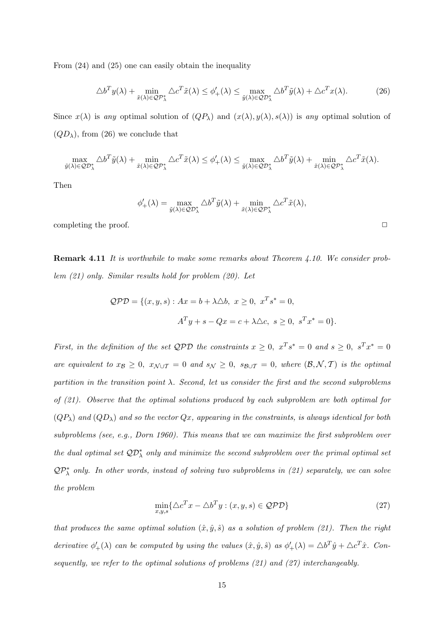From (24) and (25) one can easily obtain the inequality

$$
\Delta b^T y(\lambda) + \min_{\tilde{x}(\lambda) \in \mathcal{QP}_{\lambda}^*} \Delta c^T \tilde{x}(\lambda) \le \phi'_+(\lambda) \le \max_{\tilde{y}(\lambda) \in \mathcal{QP}_{\lambda}^*} \Delta b^T \tilde{y}(\lambda) + \Delta c^T x(\lambda).
$$
 (26)

Since  $x(\lambda)$  is any optimal solution of  $(QP_\lambda)$  and  $(x(\lambda), y(\lambda), s(\lambda))$  is any optimal solution of  $(QD_{\lambda})$ , from (26) we conclude that

$$
\max_{\tilde{y}(\lambda) \in \mathcal{QD}_{\lambda}^{*}} \triangle b^{T} \tilde{y}(\lambda) + \min_{\tilde{x}(\lambda) \in \mathcal{QP}_{\lambda}^{*}} \triangle c^{T} \tilde{x}(\lambda) \leq \phi'_{+}(\lambda) \leq \max_{\tilde{y}(\lambda) \in \mathcal{QD}_{\lambda}^{*}} \triangle b^{T} \tilde{y}(\lambda) + \min_{\tilde{x}(\lambda) \in \mathcal{QP}_{\lambda}^{*}} \triangle c^{T} \tilde{x}(\lambda).
$$

Then

$$
\phi'_+(\lambda) = \max_{\tilde{y}(\lambda) \in \mathcal{Q} \mathcal{D}^*_{\lambda}} \triangle b^T \tilde{y}(\lambda) + \min_{\tilde{x}(\lambda) \in \mathcal{Q} \mathcal{P}^*_{\lambda}} \triangle c^T \tilde{x}(\lambda),
$$

completing the proof.  $\Box$ 

Remark 4.11 It is worthwhile to make some remarks about Theorem 4.10. We consider problem (21) only. Similar results hold for problem (20). Let

$$
QPD = \{(x, y, s) : Ax = b + \lambda \Delta b, x \ge 0, x^T s^* = 0,
$$
  

$$
A^T y + s - Qx = c + \lambda \Delta c, s \ge 0, s^T x^* = 0\}.
$$

First, in the definition of the set QPD the constraints  $x \geq 0$ ,  $x^T s^* = 0$  and  $s \geq 0$ ,  $s^T x^* = 0$ are equivalent to  $x_{\mathcal{B}} \geq 0$ ,  $x_{\mathcal{N} \cup \mathcal{T}} = 0$  and  $s_{\mathcal{N}} \geq 0$ ,  $s_{\mathcal{B} \cup \mathcal{T}} = 0$ , where  $(\mathcal{B}, \mathcal{N}, \mathcal{T})$  is the optimal partition in the transition point  $\lambda$ . Second, let us consider the first and the second subproblems of (21). Observe that the optimal solutions produced by each subproblem are both optimal for  $(QP_\lambda)$  and  $(QD_\lambda)$  and so the vector  $Qx$ , appearing in the constraints, is always identical for both subproblems (see, e.g., Dorn 1960). This means that we can maximize the first subproblem over the dual optimal set  $\mathcal{QD}_{\lambda}^{*}$  only and minimize the second subproblem over the primal optimal set  $QP^*_{\lambda}$  only. In other words, instead of solving two subproblems in (21) separately, we can solve the problem

$$
\min_{x,y,s} \{ \triangle c^T x - \triangle b^T y : (x,y,s) \in \mathcal{QPD} \}
$$
\n(27)

that produces the same optimal solution  $(\hat{x}, \hat{y}, \hat{s})$  as a solution of problem (21). Then the right derivative  $\phi'_+(\lambda)$  can be computed by using the values  $(\hat{x}, \hat{y}, \hat{s})$  as  $\phi'_+(\lambda) = \Delta b^T \hat{y} + \Delta c^T \hat{x}$ . Consequently, we refer to the optimal solutions of problems (21) and (27) interchangeably.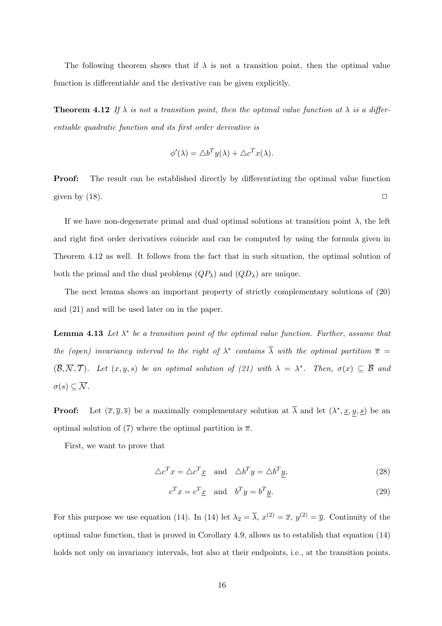The following theorem shows that if  $\lambda$  is not a transition point, then the optimal value function is differentiable and the derivative can be given explicitly.

**Theorem 4.12** If  $\lambda$  is not a transition point, then the optimal value function at  $\lambda$  is a differentiable quadratic function and its first order derivative is

$$
\phi'(\lambda) = \triangle b^T y(\lambda) + \triangle c^T x(\lambda).
$$

Proof: The result can be established directly by differentiating the optimal value function given by  $(18)$ .

If we have non-degenerate primal and dual optimal solutions at transition point  $\lambda$ , the left and right first order derivatives coincide and can be computed by using the formula given in Theorem 4.12 as well. It follows from the fact that in such situation, the optimal solution of both the primal and the dual problems  $(QP_\lambda)$  and  $(QD_\lambda)$  are unique.

The next lemma shows an important property of strictly complementary solutions of (20) and (21) and will be used later on in the paper.

**Lemma 4.13** Let  $\lambda^*$  be a transition point of the optimal value function. Further, assume that the (open) invariancy interval to the right of  $\lambda^*$  contains  $\overline{\lambda}$  with the optimal partition  $\overline{\pi}$  =  $(\overline{\mathcal{B}}, \overline{\mathcal{N}}, \overline{\mathcal{T}})$ . Let  $(x, y, s)$  be an optimal solution of (21) with  $\lambda = \lambda^*$ . Then,  $\sigma(x) \subseteq \overline{\mathcal{B}}$  and  $\sigma(s) \subseteq \overline{\mathcal{N}}$ .

**Proof:** Let  $(\overline{x}, \overline{y}, \overline{s})$  be a maximally complementary solution at  $\overline{\lambda}$  and let  $(\lambda^*, \underline{x}, y, \underline{s})$  be an optimal solution of (7) where the optimal partition is  $\bar{\pi}$ .

First, we want to prove that

$$
\Delta c^T x = \Delta c^T \underline{x} \quad \text{and} \quad \Delta b^T y = \Delta b^T y,\tag{28}
$$

$$
c^T x = c^T \underline{x} \quad \text{and} \quad b^T y = b^T \underline{y}.\tag{29}
$$

For this purpose we use equation (14). In (14) let  $\lambda_2 = \overline{\lambda}$ ,  $x^{(2)} = \overline{x}$ ,  $y^{(2)} = \overline{y}$ . Continuity of the optimal value function, that is proved in Corollary 4.9, allows us to establish that equation (14) holds not only on invariancy intervals, but also at their endpoints, i.e., at the transition points.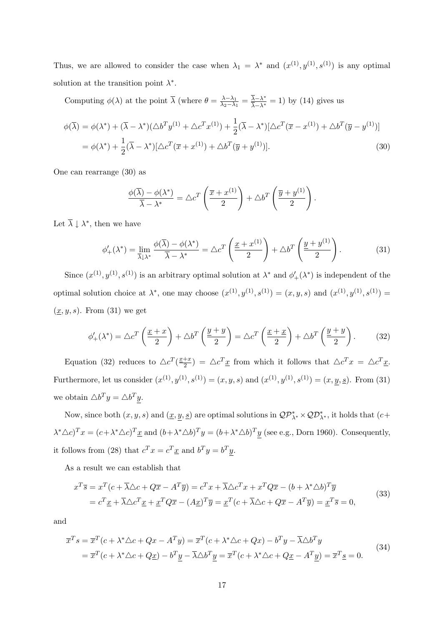Thus, we are allowed to consider the case when  $\lambda_1 = \lambda^*$  and  $(x^{(1)}, y^{(1)}, s^{(1)})$  is any optimal solution at the transition point  $\lambda^*$ .

Computing  $\phi(\lambda)$  at the point  $\overline{\lambda}$  (where  $\theta = \frac{\lambda - \lambda_1}{\lambda_2 - \lambda_1}$  $\frac{\lambda-\lambda_1}{\lambda_2-\lambda_1} = \frac{\overline{\lambda}-\lambda^*}{\overline{\lambda}-\lambda^*} = 1$ ) by (14) gives us

$$
\phi(\overline{\lambda}) = \phi(\lambda^*) + (\overline{\lambda} - \lambda^*)(\triangle b^T y^{(1)} + \triangle c^T x^{(1)}) + \frac{1}{2}(\overline{\lambda} - \lambda^*)[\triangle c^T (\overline{x} - x^{(1)}) + \triangle b^T (\overline{y} - y^{(1)})]
$$
  
=  $\phi(\lambda^*) + \frac{1}{2}(\overline{\lambda} - \lambda^*)[\triangle c^T (\overline{x} + x^{(1)}) + \triangle b^T (\overline{y} + y^{(1)})].$  (30)

One can rearrange (30) as

$$
\frac{\phi(\overline{\lambda}) - \phi(\lambda^*)}{\overline{\lambda} - \lambda^*} = \triangle c^T \left( \frac{\overline{x} + x^{(1)}}{2} \right) + \triangle b^T \left( \frac{\overline{y} + y^{(1)}}{2} \right).
$$

Let  $\overline{\lambda} \downarrow \lambda^*$ , then we have

$$
\phi'_{+}(\lambda^{*}) = \lim_{\overline{\lambda} \downarrow \lambda^{*}} \frac{\phi(\overline{\lambda}) - \phi(\lambda^{*})}{\overline{\lambda} - \lambda^{*}} = \Delta c^{T} \left( \frac{\underline{x} + x^{(1)}}{2} \right) + \Delta b^{T} \left( \frac{\underline{y} + y^{(1)}}{2} \right).
$$
 (31)

Since  $(x^{(1)}, y^{(1)}, s^{(1)})$  is an arbitrary optimal solution at  $\lambda^*$  and  $\phi'_+(\lambda^*)$  is independent of the optimal solution choice at  $\lambda^*$ , one may choose  $(x^{(1)}, y^{(1)}, s^{(1)}) = (x, y, s)$  and  $(x^{(1)}, y^{(1)}, s^{(1)}) =$  $(\underline{x}, y, s)$ . From (31) we get

$$
\phi'_{+}(\lambda^{*}) = \Delta c^{T} \left(\frac{\underline{x} + x}{2}\right) + \Delta b^{T} \left(\frac{\underline{y} + y}{2}\right) = \Delta c^{T} \left(\frac{\underline{x} + \underline{x}}{2}\right) + \Delta b^{T} \left(\frac{\underline{y} + y}{2}\right). \tag{32}
$$

Equation (32) reduces to  $\Delta c^T(\frac{x+x}{2})$  $\frac{1+x}{2}$  =  $\Delta c^T \underline{x}$  from which it follows that  $\Delta c^T x = \Delta c^T \underline{x}$ . Furthermore, let us consider  $(x^{(1)}, y^{(1)}, s^{(1)}) = (x, y, s)$  and  $(x^{(1)}, y^{(1)}, s^{(1)}) = (x, y, s)$ . From (31) we obtain  $\triangle b^T y = \triangle b^T y$ .

Now, since both  $(x, y, s)$  and  $(\underline{x}, \underline{y}, \underline{s})$  are optimal solutions in  $\mathcal{QP}_{\lambda^*}^* \times \mathcal{QD}_{\lambda^*}^*$ , it holds that  $(c+$  $(\lambda^* \Delta c)^T x = (c + \lambda^* \Delta c)^T \underline{x}$  and  $(b + \lambda^* \Delta b)^T y = (b + \lambda^* \Delta b)^T y$  (see e.g., Dorn 1960). Consequently, it follows from (28) that  $c^T x = c^T \underline{x}$  and  $b^T y = b^T y$ .

As a result we can establish that

$$
x^T \overline{s} = x^T (c + \overline{\lambda} \triangle c + Q \overline{x} - A^T \overline{y}) = c^T x + \overline{\lambda} \triangle c^T x + x^T Q \overline{x} - (b + \lambda^* \triangle b)^T \overline{y}
$$
  
=  $c^T \underline{x} + \overline{\lambda} \triangle c^T \underline{x} + \underline{x}^T Q \overline{x} - (A \underline{x})^T \overline{y} = \underline{x}^T (c + \overline{\lambda} \triangle c + Q \overline{x} - A^T \overline{y}) = \underline{x}^T \overline{s} = 0,$  (33)

and

$$
\overline{x}^T s = \overline{x}^T (c + \lambda^* \triangle c + Qx - A^T y) = \overline{x}^T (c + \lambda^* \triangle c + Qx) - b^T y - \overline{\lambda} \triangle b^T y
$$
  
= 
$$
\overline{x}^T (c + \lambda^* \triangle c + Qx) - b^T \underline{y} - \overline{\lambda} \triangle b^T \underline{y} = \overline{x}^T (c + \lambda^* \triangle c + Qx - A^T \underline{y}) = \overline{x}^T \underline{s} = 0.
$$
 (34)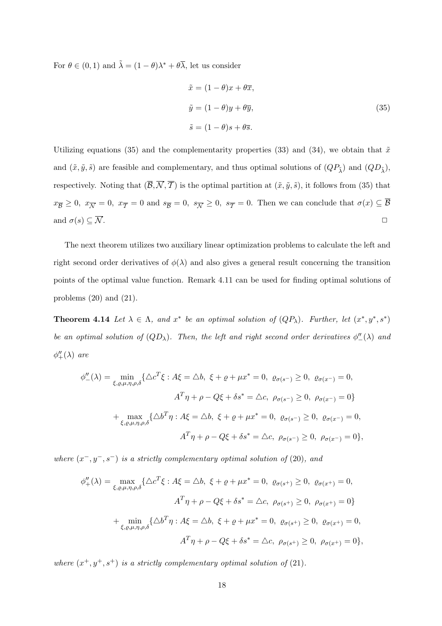For  $\theta \in (0, 1)$  and  $\tilde{\lambda} = (1 - \theta)\lambda^* + \theta \overline{\lambda}$ , let us consider

$$
\tilde{x} = (1 - \theta)x + \theta \overline{x},
$$
  
\n
$$
\tilde{y} = (1 - \theta)y + \theta \overline{y},
$$
  
\n
$$
\tilde{s} = (1 - \theta)s + \theta \overline{s}.
$$
\n(35)

Utilizing equations (35) and the complementarity properties (33) and (34), we obtain that  $\tilde{x}$ and  $(\tilde{x}, \tilde{y}, \tilde{s})$  are feasible and complementary, and thus optimal solutions of  $(QP_{\tilde{\lambda}})$  and  $(QD_{\tilde{\lambda}})$ , respectively. Noting that  $(\overline{\mathcal{B}}, \overline{\mathcal{N}}, \overline{\mathcal{T}})$  is the optimal partition at  $(\tilde{x}, \tilde{y}, \tilde{s})$ , it follows from (35) that  $x_{\overline{B}} \geq 0$ ,  $x_{\overline{N}} = 0$ ,  $x_{\overline{T}} = 0$  and  $s_{\overline{B}} = 0$ ,  $s_{\overline{N}} \geq 0$ ,  $s_{\overline{T}} = 0$ . Then we can conclude that  $\sigma(x) \subseteq \overline{B}$ and  $\sigma(s) \subseteq \overline{\mathcal{N}}$ .

The next theorem utilizes two auxiliary linear optimization problems to calculate the left and right second order derivatives of  $\phi(\lambda)$  and also gives a general result concerning the transition points of the optimal value function. Remark 4.11 can be used for finding optimal solutions of problems  $(20)$  and  $(21)$ .

**Theorem 4.14** Let  $\lambda \in \Lambda$ , and  $x^*$  be an optimal solution of  $(QP_\lambda)$ . Further, let  $(x^*, y^*, s^*)$ be an optimal solution of  $(QD_\lambda)$ . Then, the left and right second order derivatives  $\phi''(\lambda)$  and  $\phi''_+(\lambda)$  are

$$
\phi''_{-}(\lambda) = \min_{\xi, \varrho, \mu, \eta, \rho, \delta} \{ \Delta c^T \xi : A \xi = \Delta b, \ \xi + \varrho + \mu x^* = 0, \ \varrho_{\sigma(s^-)} \ge 0, \ \varrho_{\sigma(x^-)} = 0, \nA^T \eta + \rho - Q \xi + \delta s^* = \Delta c, \ \rho_{\sigma(s^-)} \ge 0, \ \rho_{\sigma(x^-)} = 0 \}
$$
\n
$$
+ \max_{\xi, \varrho, \mu, \eta, \rho, \delta} \{ \Delta b^T \eta : A \xi = \Delta b, \ \xi + \varrho + \mu x^* = 0, \ \varrho_{\sigma(s^-)} \ge 0, \ \varrho_{\sigma(x^-)} = 0, \nA^T \eta + \rho - Q \xi + \delta s^* = \Delta c, \ \rho_{\sigma(s^-)} \ge 0, \ \rho_{\sigma(x^-)} = 0 \},
$$

where  $(x^-, y^-, s^-)$  is a strictly complementary optimal solution of (20), and

$$
\phi''_{+}(\lambda) = \max_{\xi, \varrho, \mu, \eta, \rho, \delta} \{ \Delta c^{T} \xi : A \xi = \Delta b, \ \xi + \varrho + \mu x^{*} = 0, \ \varrho_{\sigma(s^{+})} \ge 0, \ \varrho_{\sigma(x^{+})} = 0, \n A^{T} \eta + \rho - Q \xi + \delta s^{*} = \Delta c, \ \rho_{\sigma(s^{+})} \ge 0, \ \rho_{\sigma(x^{+})} = 0 \} \n+ \min_{\xi, \varrho, \mu, \eta, \rho, \delta} \{ \Delta b^{T} \eta : A \xi = \Delta b, \ \xi + \varrho + \mu x^{*} = 0, \ \varrho_{\sigma(s^{+})} \ge 0, \ \varrho_{\sigma(x^{+})} = 0, \n A^{T} \eta + \rho - Q \xi + \delta s^{*} = \Delta c, \ \rho_{\sigma(s^{+})} \ge 0, \ \rho_{\sigma(x^{+})} = 0 \},
$$

where  $(x^+, y^+, s^+)$  is a strictly complementary optimal solution of (21).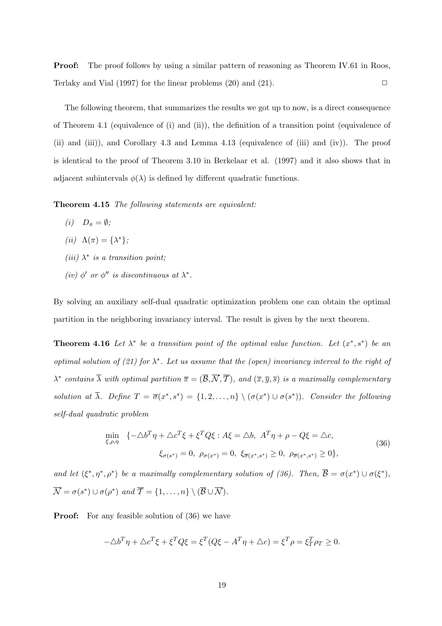**Proof:** The proof follows by using a similar pattern of reasoning as Theorem IV.61 in Roos, Terlaky and Vial (1997) for the linear problems (20) and (21).  $\Box$ 

The following theorem, that summarizes the results we got up to now, is a direct consequence of Theorem 4.1 (equivalence of (i) and (ii)), the definition of a transition point (equivalence of (ii) and (iii)), and Corollary 4.3 and Lemma 4.13 (equivalence of (iii) and (iv)). The proof is identical to the proof of Theorem 3.10 in Berkelaar et al. (1997) and it also shows that in adjacent subintervals  $\phi(\lambda)$  is defined by different quadratic functions.

Theorem 4.15 The following statements are equivalent:

- (i)  $D_{\pi} = \emptyset;$
- (*ii*)  $\Lambda(\pi) = {\lambda^*};$
- (iii)  $\lambda^*$  is a transition point;
- (iv)  $\phi'$  or  $\phi''$  is discontinuous at  $\lambda^*$ .

By solving an auxiliary self-dual quadratic optimization problem one can obtain the optimal partition in the neighboring invariancy interval. The result is given by the next theorem.

**Theorem 4.16** Let  $\lambda^*$  be a transition point of the optimal value function. Let  $(x^*, s^*)$  be an optimal solution of (21) for  $\lambda^*$ . Let us assume that the (open) invariancy interval to the right of  $\lambda^*$  contains  $\overline{\lambda}$  with optimal partition  $\overline{\pi} = (\overline{\mathcal{B}}, \overline{\mathcal{N}}, \overline{\mathcal{T}})$ , and  $(\overline{x}, \overline{y}, \overline{s})$  is a maximally complementary solution at  $\overline{\lambda}$ . Define  $T = \overline{\sigma}(x^*, s^*) = \{1, 2, ..., n\} \setminus (\sigma(x^*) \cup \sigma(s^*))$ . Consider the following self-dual quadratic problem

$$
\min_{\xi, \rho, \eta} \ \{ -\triangle b^T \eta + \triangle c^T \xi + \xi^T Q \xi : A \xi = \triangle b, \ A^T \eta + \rho - Q \xi = \triangle c, \n\xi_{\sigma(s^*)} = 0, \ \rho_{\sigma(x^*)} = 0, \ \xi_{\overline{\sigma}(x^*, s^*)} \ge 0, \ \rho_{\overline{\sigma}(x^*, s^*)} \ge 0 \},
$$
\n(36)

and let  $(\xi^*, \eta^*, \rho^*)$  be a maximally complementary solution of (36). Then,  $\overline{\mathcal{B}} = \sigma(x^*) \cup \sigma(\xi^*),$  $\overline{\mathcal{N}} = \sigma(s^*) \cup \sigma(\rho^*)$  and  $\overline{\mathcal{T}} = \{1, \ldots, n\} \setminus (\overline{\mathcal{B}} \cup \overline{\mathcal{N}}).$ 

**Proof:** For any feasible solution of (36) we have

$$
-\triangle b^T \eta + \triangle c^T \xi + \xi^T Q \xi = \xi^T (Q \xi - A^T \eta + \triangle c) = \xi^T \rho = \xi^T_T \rho_T \ge 0.
$$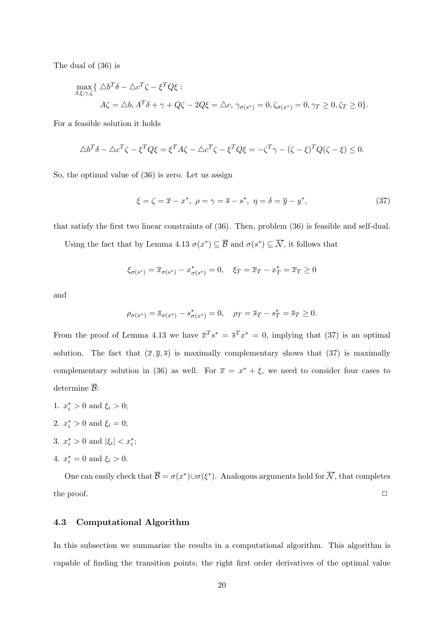The dual of (36) is

$$
\max_{\delta,\xi,\gamma,\zeta} \{ \Delta b^T \delta - \Delta c^T \zeta - \xi^T Q \xi : \nA \zeta = \Delta b, A^T \delta + \gamma + Q \zeta - 2Q \xi = \Delta c, \ \gamma_{\sigma(s^*)} = 0, \zeta_{\sigma(x^*)} = 0, \gamma_T \ge 0, \zeta_T \ge 0 \}.
$$

For a feasible solution it holds

$$
\Delta b^T \delta - \Delta c^T \zeta - \xi^T Q \xi = \xi^T A \zeta - \Delta c^T \zeta - \xi^T Q \xi = -\zeta^T \gamma - (\zeta - \xi)^T Q (\zeta - \xi) \le 0.
$$

So, the optimal value of (36) is zero. Let us assign

$$
\xi = \zeta = \overline{x} - x^*, \ \rho = \gamma = \overline{s} - s^*, \ \eta = \delta = \overline{y} - y^*, \tag{37}
$$

that satisfy the first two linear constraints of (36). Then, problem (36) is feasible and self-dual.

Using the fact that by Lemma 4.13  $\sigma(x^*) \subseteq \overline{\mathcal{B}}$  and  $\sigma(s^*) \subseteq \overline{\mathcal{N}}$ , it follows that

$$
\xi_{\sigma(s^*)} = \overline{x}_{\sigma(s^*)} - x^*_{\sigma(s^*)} = 0, \quad \xi_T = \overline{x}_T - x^*_T = \overline{x}_T \ge 0
$$

and

$$
\rho_{\sigma(x^*)} = \overline{s}_{\sigma(x^*)} - s^*_{\sigma(x^*)} = 0, \quad \rho_T = \overline{s}_T - s^*_T = \overline{s}_T \ge 0.
$$

From the proof of Lemma 4.13 we have  $\overline{x}^T s^* = \overline{s}^T x^* = 0$ , implying that (37) is an optimal solution. The fact that  $(\bar{x}, \bar{y}, \bar{s})$  is maximally complementary shows that (37) is maximally complementary solution in (36) as well. For  $\bar{x} = x^* + \xi$ , we need to consider four cases to determine  $\overline{B}$ :

- 1.  $x_i^* > 0$  and  $\xi_i > 0$ ;
- 2.  $x_i^* > 0$  and  $\xi_i = 0$ ;
- 3.  $x_i^* > 0$  and  $|\xi_i| < x_i^*$ ;
- 4.  $x_i^* = 0$  and  $\xi_i > 0$ .

One can easily check that  $\overline{\mathcal{B}} = \sigma(x^*) \cup \sigma(\xi^*)$ . Analogous arguments hold for  $\overline{\mathcal{N}}$ , that completes the proof.  $\Box$ 

#### 4.3 Computational Algorithm

In this subsection we summarize the results in a computational algorithm. This algorithm is capable of finding the transition points; the right first order derivatives of the optimal value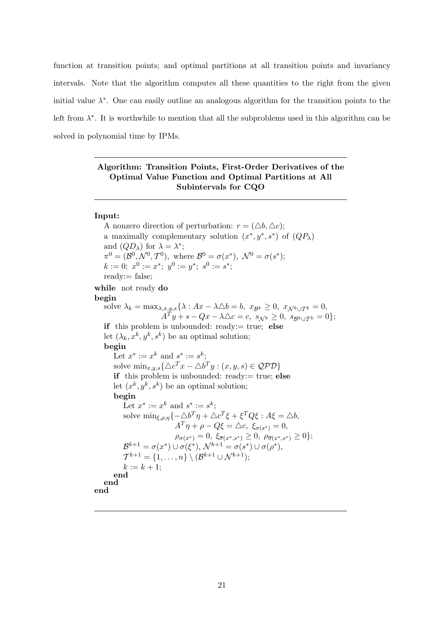function at transition points; and optimal partitions at all transition points and invariancy intervals. Note that the algorithm computes all these quantities to the right from the given initial value  $\lambda^*$ . One can easily outline an analogous algorithm for the transition points to the left from  $\lambda^*$ . It is worthwhile to mention that all the subproblems used in this algorithm can be solved in polynomial time by IPMs.

#### Algorithm: Transition Points, First-Order Derivatives of the Optimal Value Function and Optimal Partitions at All Subintervals for CQO

#### Input:

A nonzero direction of perturbation:  $r = (\Delta b, \Delta c)$ ; a maximally complementary solution  $(x^*, y^*, s^*)$  of  $(QP_\lambda)$ and  $(QD_\lambda)$  for  $\lambda = \lambda^*$ ;  $\pi^0 = (\mathcal{B}^0, \mathcal{N}^0, \mathcal{T}^0)$ , where  $\mathcal{B}^0 = \sigma(x^*)$ ,  $\mathcal{N}^0 = \sigma(s^*)$ ;  $k := 0; x^0 := x^*; y^0 := y^*; s^0 := s^*;$ ready:= false; while not ready do begin solve  $\lambda_k = \max_{\lambda, x, y, s} \{ \lambda : Ax - \lambda \Delta b = b, x_{\mathcal{B}^k} \geq 0, x_{\mathcal{N}^k \cup \mathcal{T}^k} = 0,$  $A^T y + s - Qx - \lambda \triangle c = c, \ s_{\mathcal{N}^k} \geq 0, \ s_{\mathcal{B}^k \cup \mathcal{T}^k} = 0\};$ if this problem is unbounded: ready:= true; else let  $(\lambda_k, x^k, y^k, s^k)$  be an optimal solution; begin Let  $x^* := x^k$  and  $s^* := s^k$ ; solve  $\min_{x,y,s} {\{\triangle c^T x - \triangle b^T y : (x, y, s) \in \mathcal{QPD}\}}$ if this problem is unbounded: ready:= true; else let  $(x^k, y^k, s^k)$  be an optimal solution; begin Let  $x^* := x^k$  and  $s^* := s^k$ ; solve  $\min_{\xi,\rho,\eta}\{-\triangle b^T\eta + \triangle c^T\xi + \xi^TQ\xi : A\xi = \triangle b,$  $A^T \eta + \rho - Q \xi = \triangle c, \xi_{\sigma(s^*)} = 0,$  $\rho_{\sigma(x^*)} = 0, \xi_{\overline{\sigma}(x^*,s^*)} \geq 0, \rho_{\overline{\sigma}(x^*,s^*)} \geq 0$ ;  $\mathcal{B}^{k+1} = \sigma(x^*) \cup \sigma(\xi^*), \, \mathcal{N}^{k+1} = \sigma(s^*) \cup \sigma(\rho^*),$  $\mathcal{T}^{k+1} = \{1, \ldots, n\} \setminus (\mathcal{B}^{k+1} \cup \mathcal{N}^{k+1});$  $k := k + 1;$ end end end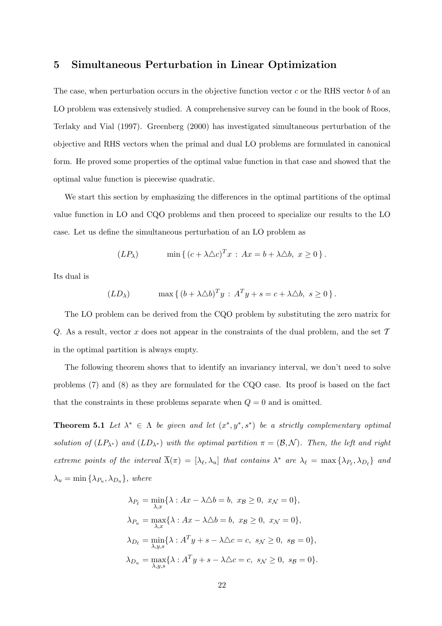#### 5 Simultaneous Perturbation in Linear Optimization

The case, when perturbation occurs in the objective function vector  $c$  or the RHS vector  $b$  of an LO problem was extensively studied. A comprehensive survey can be found in the book of Roos, Terlaky and Vial (1997). Greenberg (2000) has investigated simultaneous perturbation of the objective and RHS vectors when the primal and dual LO problems are formulated in canonical form. He proved some properties of the optimal value function in that case and showed that the optimal value function is piecewise quadratic.

We start this section by emphasizing the differences in the optimal partitions of the optimal value function in LO and CQO problems and then proceed to specialize our results to the LO case. Let us define the simultaneous perturbation of an LO problem as

$$
(LP\lambda) \qquad \min \{ (c + \lambda \triangle c)^{T}x : Ax = b + \lambda \triangle b, x \ge 0 \}.
$$

Its dual is

$$
(LD\lambda) \qquad \max \{ (b + \lambda \triangle b)^T y : A^T y + s = c + \lambda \triangle b, s \ge 0 \}.
$$

The LO problem can be derived from the CQO problem by substituting the zero matrix for Q. As a result, vector x does not appear in the constraints of the dual problem, and the set  $\mathcal T$ in the optimal partition is always empty.

The following theorem shows that to identify an invariancy interval, we don't need to solve problems (7) and (8) as they are formulated for the CQO case. Its proof is based on the fact that the constraints in these problems separate when  $Q = 0$  and is omitted.

**Theorem 5.1** Let  $\lambda^* \in \Lambda$  be given and let  $(x^*, y^*, s^*)$  be a strictly complementary optimal solution of  $(LP_{\lambda^*})$  and  $(LD_{\lambda^*})$  with the optimal partition  $\pi = (\mathcal{B}, \mathcal{N})$ . Then, the left and right extreme points of the interval  $\overline{\Lambda}(\pi) = [\lambda_{\ell}, \lambda_u]$  that contains  $\lambda^*$  are  $\lambda_{\ell} = \max{\{\lambda_{P_{\ell}}, \lambda_{D_{\ell}}\}}$  and  $\lambda_u = \min\{\lambda_{P_u}, \lambda_{D_u}\},$  where

$$
\lambda_{P_{\ell}} = \min_{\lambda, x} \{ \lambda : Ax - \lambda \Delta b = b, x_{\mathcal{B}} \ge 0, x_{\mathcal{N}} = 0 \},
$$
  
\n
$$
\lambda_{P_u} = \max_{\lambda, x} \{ \lambda : Ax - \lambda \Delta b = b, x_{\mathcal{B}} \ge 0, x_{\mathcal{N}} = 0 \},
$$
  
\n
$$
\lambda_{D_{\ell}} = \min_{\lambda, y, s} \{ \lambda : A^T y + s - \lambda \Delta c = c, s_{\mathcal{N}} \ge 0, s_{\mathcal{B}} = 0 \},
$$
  
\n
$$
\lambda_{D_u} = \max_{\lambda, y, s} \{ \lambda : A^T y + s - \lambda \Delta c = c, s_{\mathcal{N}} \ge 0, s_{\mathcal{B}} = 0 \}.
$$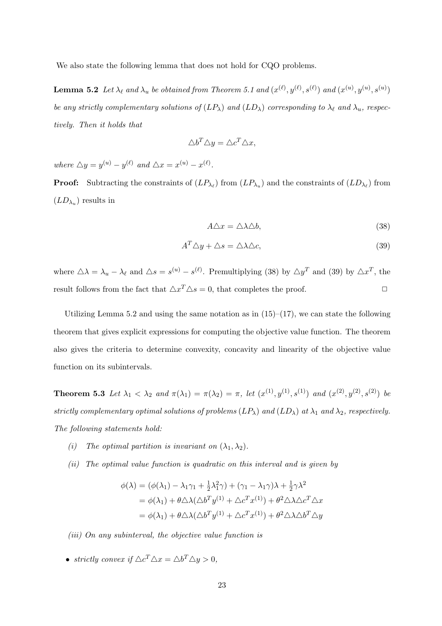We also state the following lemma that does not hold for CQO problems.

**Lemma 5.2** Let  $\lambda_{\ell}$  and  $\lambda_u$  be obtained from Theorem 5.1 and  $(x^{(\ell)}, y^{(\ell)}, s^{(\ell)})$  and  $(x^{(u)}, y^{(u)}, s^{(u)})$ be any strictly complementary solutions of  $(LP_\lambda)$  and  $(LD_\lambda)$  corresponding to  $\lambda_\ell$  and  $\lambda_u$ , respectively. Then it holds that

$$
\triangle b^T \triangle y = \triangle c^T \triangle x,
$$

where  $\Delta y = y^{(u)} - y^{(\ell)}$  and  $\Delta x = x^{(u)} - x^{(\ell)}$ .

**Proof:** Subtracting the constraints of  $(LP_{\lambda_\ell})$  from  $(LP_{\lambda_u})$  and the constraints of  $(LD_{\lambda_\ell})$  from  $(LD_{\lambda_u})$  results in

$$
A\triangle x = \triangle \lambda \triangle b,\tag{38}
$$

$$
A^T \triangle y + \triangle s = \triangle \lambda \triangle c,\tag{39}
$$

where  $\Delta \lambda = \lambda_u - \lambda_\ell$  and  $\Delta s = s^{(u)} - s^{(\ell)}$ . Premultiplying (38) by  $\Delta y^T$  and (39) by  $\Delta x^T$ , the result follows from the fact that  $\Delta x^T \Delta s = 0$ , that completes the proof.

Utilizing Lemma 5.2 and using the same notation as in  $(15)–(17)$ , we can state the following theorem that gives explicit expressions for computing the objective value function. The theorem also gives the criteria to determine convexity, concavity and linearity of the objective value function on its subintervals.

**Theorem 5.3** Let  $\lambda_1 < \lambda_2$  and  $\pi(\lambda_1) = \pi(\lambda_2) = \pi$ , let  $(x^{(1)}, y^{(1)}, s^{(1)})$  and  $(x^{(2)}, y^{(2)}, s^{(2)})$  be strictly complementary optimal solutions of problems  $(LP_\lambda)$  and  $(LD_\lambda)$  at  $\lambda_1$  and  $\lambda_2$ , respectively. The following statements hold:

- (i) The optimal partition is invariant on  $(\lambda_1, \lambda_2)$ .
- (ii) The optimal value function is quadratic on this interval and is given by

$$
\phi(\lambda) = (\phi(\lambda_1) - \lambda_1 \gamma_1 + \frac{1}{2} \lambda_1^2 \gamma) + (\gamma_1 - \lambda_1 \gamma) \lambda + \frac{1}{2} \gamma \lambda^2
$$
  
= 
$$
\phi(\lambda_1) + \theta \triangle \lambda (\triangle b^T y^{(1)} + \triangle c^T x^{(1)}) + \theta^2 \triangle \lambda \triangle c^T \triangle x
$$
  
= 
$$
\phi(\lambda_1) + \theta \triangle \lambda (\triangle b^T y^{(1)} + \triangle c^T x^{(1)}) + \theta^2 \triangle \lambda \triangle b^T \triangle y
$$

(iii) On any subinterval, the objective value function is

• strictly convex if  $\triangle c^T \triangle x = \triangle b^T \triangle y > 0$ ,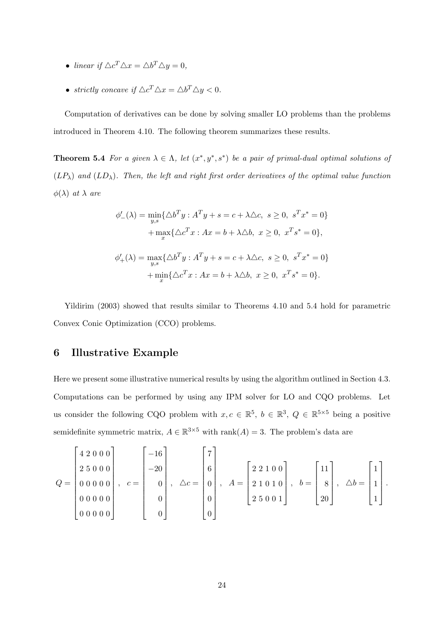- linear if  $\triangle c^T \triangle x = \triangle b^T \triangle y = 0$ ,
- strictly concave if  $\Delta c^T \Delta x = \Delta b^T \Delta y < 0$ .

Computation of derivatives can be done by solving smaller LO problems than the problems introduced in Theorem 4.10. The following theorem summarizes these results.

**Theorem 5.4** For a given  $\lambda \in \Lambda$ , let  $(x^*, y^*, s^*)$  be a pair of primal-dual optimal solutions of  $(LP_\lambda)$  and  $(LD_\lambda)$ . Then, the left and right first order derivatives of the optimal value function  $\phi(\lambda)$  at  $\lambda$  are

$$
\phi'_{-}(\lambda) = \min_{y,s} \{ \Delta b^{T} y : A^{T} y + s = c + \lambda \Delta c, \ s \ge 0, \ s^{T} x^{*} = 0 \} + \max_{x} \{ \Delta c^{T} x : Ax = b + \lambda \Delta b, \ x \ge 0, \ x^{T} s^{*} = 0 \}, \n\phi'_{+}(\lambda) = \max_{y,s} \{ \Delta b^{T} y : A^{T} y + s = c + \lambda \Delta c, \ s \ge 0, \ s^{T} x^{*} = 0 \} + \min_{x} \{ \Delta c^{T} x : Ax = b + \lambda \Delta b, \ x \ge 0, \ x^{T} s^{*} = 0 \}.
$$

Yildirim (2003) showed that results similar to Theorems 4.10 and 5.4 hold for parametric Convex Conic Optimization (CCO) problems.

#### 6 Illustrative Example

Here we present some illustrative numerical results by using the algorithm outlined in Section 4.3. Computations can be performed by using any IPM solver for LO and CQO problems. Let us consider the following CQO problem with  $x, c \in \mathbb{R}^5$ ,  $b \in \mathbb{R}^3$ ,  $Q \in \mathbb{R}^{5\times 5}$  being a positive semidefinite symmetric matrix,  $A \in \mathbb{R}^{3 \times 5}$  with rank $(A) = 3$ . The problem's data are

$$
Q = \begin{bmatrix} 4 & 2 & 0 & 0 & 0 \\ 2 & 5 & 0 & 0 & 0 \\ 0 & 0 & 0 & 0 & 0 \\ 0 & 0 & 0 & 0 & 0 \\ 0 & 0 & 0 & 0 & 0 \end{bmatrix}, \quad c = \begin{bmatrix} -16 \\ -20 \\ 0 \\ 0 \\ 0 \end{bmatrix}, \quad \Delta c = \begin{bmatrix} 7 \\ 6 \\ 0 \\ 0 \\ 0 \end{bmatrix}, \quad A = \begin{bmatrix} 2 & 2 & 1 & 0 & 0 \\ 2 & 1 & 0 & 1 & 0 \\ 2 & 5 & 0 & 0 & 1 \end{bmatrix}, \quad b = \begin{bmatrix} 11 \\ 8 \\ 20 \end{bmatrix}, \quad \Delta b = \begin{bmatrix} 1 \\ 1 \\ 1 \\ 1 \end{bmatrix}.
$$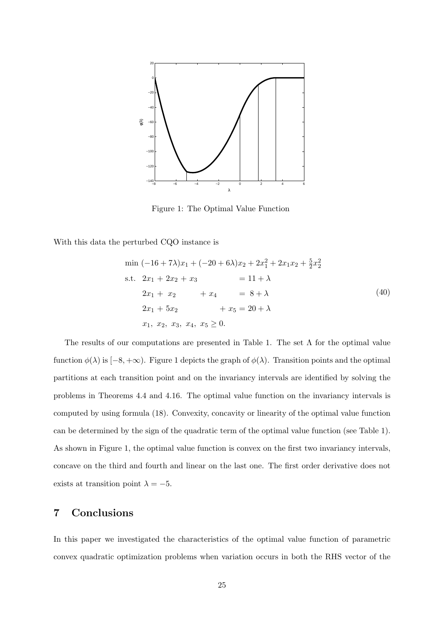

Figure 1: The Optimal Value Function

With this data the perturbed CQO instance is

$$
\min(-16+7\lambda)x_1 + (-20+6\lambda)x_2 + 2x_1^2 + 2x_1x_2 + \frac{5}{2}x_2^2
$$
\n
$$
\text{s.t. } 2x_1 + 2x_2 + x_3 = 11 + \lambda
$$
\n
$$
2x_1 + x_2 + x_4 = 8 + \lambda
$$
\n
$$
2x_1 + 5x_2 + x_5 = 20 + \lambda
$$
\n
$$
x_1, x_2, x_3, x_4, x_5 \ge 0.
$$
\n(40)

The results of our computations are presented in Table 1. The set  $\Lambda$  for the optimal value function  $\phi(\lambda)$  is  $[-8, +\infty)$ . Figure 1 depicts the graph of  $\phi(\lambda)$ . Transition points and the optimal partitions at each transition point and on the invariancy intervals are identified by solving the problems in Theorems 4.4 and 4.16. The optimal value function on the invariancy intervals is computed by using formula (18). Convexity, concavity or linearity of the optimal value function can be determined by the sign of the quadratic term of the optimal value function (see Table 1). As shown in Figure 1, the optimal value function is convex on the first two invariancy intervals, concave on the third and fourth and linear on the last one. The first order derivative does not exists at transition point  $\lambda = -5$ .

#### 7 Conclusions

In this paper we investigated the characteristics of the optimal value function of parametric convex quadratic optimization problems when variation occurs in both the RHS vector of the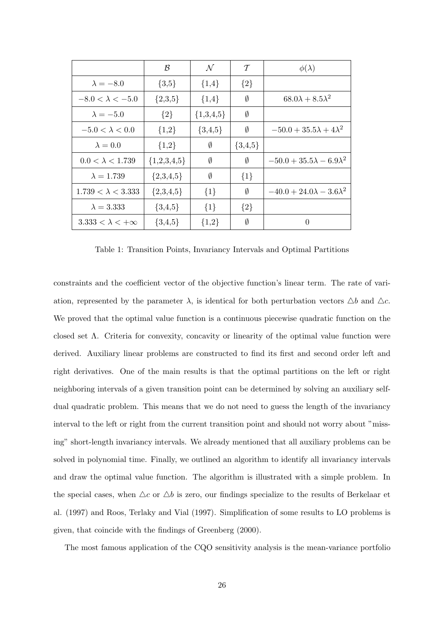|                             | $\mathcal B$  | $\mathcal N$ | $\tau$      | $\phi(\lambda)$                      |
|-----------------------------|---------------|--------------|-------------|--------------------------------------|
| $\lambda = -8.0$            | $\{3,5\}$     | ${1,4}$      | ${2}$       |                                      |
| $-8.0 < \lambda < -5.0$     | ${2,3,5}$     | $\{1,4\}$    | Ø           | $68.0\lambda + 8.5\lambda^2$         |
| $\lambda = -5.0$            | ${2}$         | ${1,3,4,5}$  | Ø           |                                      |
| $-5.0 < \lambda < 0.0$      | ${1,2}$       | ${3,4,5}$    | Ø           | $-50.0 + 35.5\lambda + 4\lambda^2$   |
| $\lambda = 0.0$             | ${1,2}$       | Ø            | $\{3,4,5\}$ |                                      |
| $0.0 < \lambda < 1.739$     | ${1,2,3,4,5}$ | Ø            | Ø           | $-50.0 + 35.5\lambda - 6.9\lambda^2$ |
| $\lambda = 1.739$           | ${2,3,4,5}$   | Ø            | $\{1\}$     |                                      |
| $1.739 < \lambda < 3.333$   | ${2,3,4,5}$   | $\{1\}$      | Ø           | $-40.0 + 24.0\lambda - 3.6\lambda^2$ |
| $\lambda = 3.333$           | $\{3,4,5\}$   | ${1}$        | ${2}$       |                                      |
| $3.333 < \lambda < +\infty$ | $\{3,4,5\}$   | ${1,2}$      | Ø           | 0                                    |

Table 1: Transition Points, Invariancy Intervals and Optimal Partitions

constraints and the coefficient vector of the objective function's linear term. The rate of variation, represented by the parameter  $\lambda$ , is identical for both perturbation vectors  $\Delta b$  and  $\Delta c$ . We proved that the optimal value function is a continuous piecewise quadratic function on the closed set Λ. Criteria for convexity, concavity or linearity of the optimal value function were derived. Auxiliary linear problems are constructed to find its first and second order left and right derivatives. One of the main results is that the optimal partitions on the left or right neighboring intervals of a given transition point can be determined by solving an auxiliary selfdual quadratic problem. This means that we do not need to guess the length of the invariancy interval to the left or right from the current transition point and should not worry about "missing" short-length invariancy intervals. We already mentioned that all auxiliary problems can be solved in polynomial time. Finally, we outlined an algorithm to identify all invariancy intervals and draw the optimal value function. The algorithm is illustrated with a simple problem. In the special cases, when  $\Delta c$  or  $\Delta b$  is zero, our findings specialize to the results of Berkelaar et al. (1997) and Roos, Terlaky and Vial (1997). Simplification of some results to LO problems is given, that coincide with the findings of Greenberg (2000).

The most famous application of the CQO sensitivity analysis is the mean-variance portfolio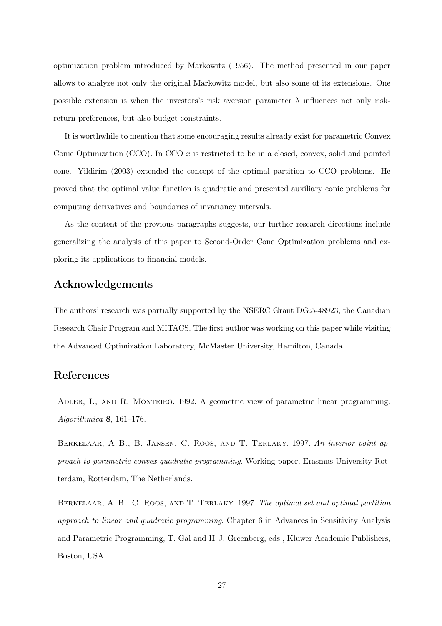optimization problem introduced by Markowitz (1956). The method presented in our paper allows to analyze not only the original Markowitz model, but also some of its extensions. One possible extension is when the investors's risk aversion parameter  $\lambda$  influences not only riskreturn preferences, but also budget constraints.

It is worthwhile to mention that some encouraging results already exist for parametric Convex Conic Optimization (CCO). In CCO  $x$  is restricted to be in a closed, convex, solid and pointed cone. Yildirim (2003) extended the concept of the optimal partition to CCO problems. He proved that the optimal value function is quadratic and presented auxiliary conic problems for computing derivatives and boundaries of invariancy intervals.

As the content of the previous paragraphs suggests, our further research directions include generalizing the analysis of this paper to Second-Order Cone Optimization problems and exploring its applications to financial models.

#### Acknowledgements

The authors' research was partially supported by the NSERC Grant DG:5-48923, the Canadian Research Chair Program and MITACS. The first author was working on this paper while visiting the Advanced Optimization Laboratory, McMaster University, Hamilton, Canada.

#### References

Adler, I., and R. Monteiro. 1992. A geometric view of parametric linear programming. Algorithmica 8, 161–176.

Berkelaar, A. B., B. Jansen, C. Roos, and T. Terlaky. 1997. An interior point approach to parametric convex quadratic programming. Working paper, Erasmus University Rotterdam, Rotterdam, The Netherlands.

BERKELAAR, A. B., C. ROOS, AND T. TERLAKY. 1997. The optimal set and optimal partition approach to linear and quadratic programming. Chapter 6 in Advances in Sensitivity Analysis and Parametric Programming, T. Gal and H. J. Greenberg, eds., Kluwer Academic Publishers, Boston, USA.